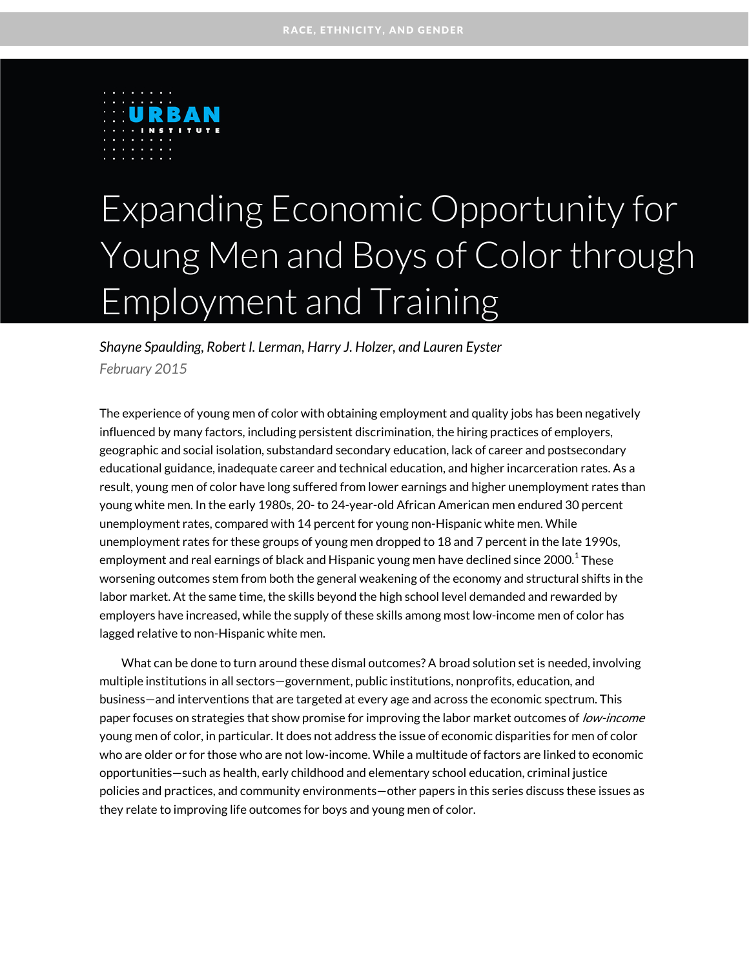

# Expanding Economic Opportunity for Young Men and Boys of Color through Employment and Training

*Shayne Spaulding, Robert I. Lerman, Harry J. Holzer, and Lauren Eyster February 2015*

The experience of young men of color with obtaining employment and quality jobs has been negatively influenced by many factors, including persistent discrimination, the hiring practices of employers, geographic and social isolation, substandard secondary education, lack of career and postsecondary educational guidance, inadequate career and technical education, and higher incarceration rates. As a result, young men of color have long suffered from lower earnings and higher unemployment rates than young white men. In the early 1980s, 20- to 24-year-old African American men endured 30 percent unemployment rates, compared with 14 percent for young non-Hispanic white men. While unemployment rates for these groups of young men dropped to 18 and 7 percent in the late 1990s, employment and real earnings of black and Hispanic young men have declined since 200[0.](#page-30-0) $^{\rm 1}$  These worsening outcomes stem from both the general weakening of the economy and structural shifts in the labor market. At the same time, the skills beyond the high school level demanded and rewarded by employers have increased, while the supply of these skills among most low-income men of color has lagged relative to non-Hispanic white men.

What can be done to turn around these dismal outcomes? A broad solution set is needed, involving multiple institutions in all sectors—government, public institutions, nonprofits, education, and business—and interventions that are targeted at every age and across the economic spectrum. This paper focuses on strategies that show promise for improving the labor market outcomes of low-income young men of color, in particular. It does not address the issue of economic disparities for men of color who are older or for those who are not low-income. While a multitude of factors are linked to economic opportunities—such as health, early childhood and elementary school education, criminal justice policies and practices, and community environments—other papers in this series discuss these issues as they relate to improving life outcomes for boys and young men of color.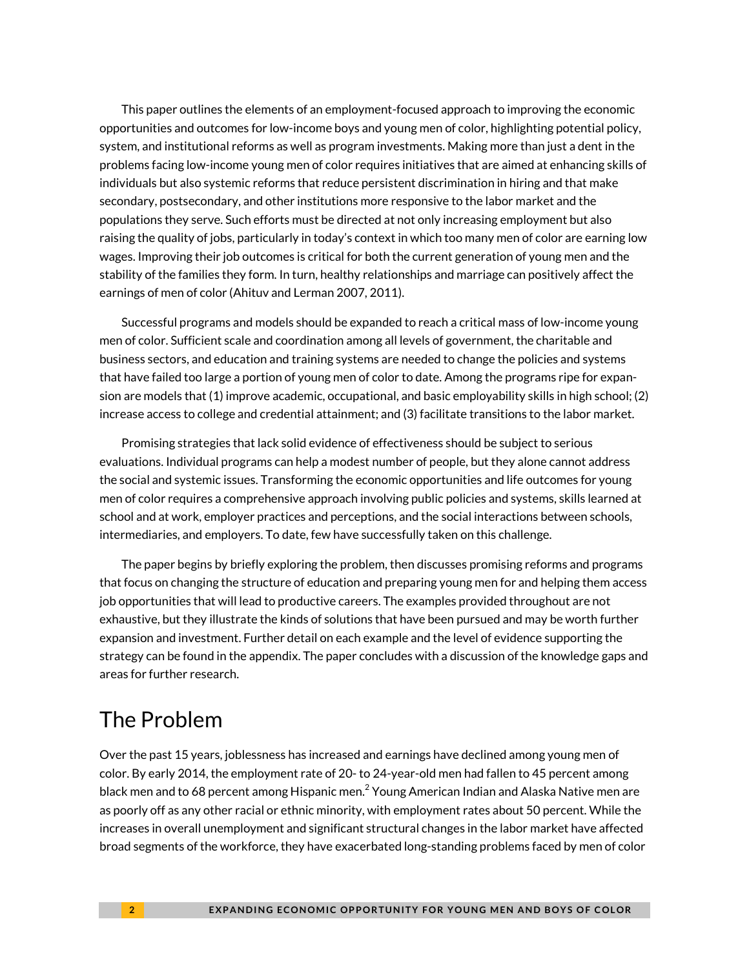This paper outlines the elements of an employment-focused approach to improving the economic opportunities and outcomes for low-income boys and young men of color, highlighting potential policy, system, and institutional reforms as well as program investments. Making more than just a dent in the problems facing low-income young men of color requires initiatives that are aimed at enhancing skills of individuals but also systemic reforms that reduce persistent discrimination in hiring and that make secondary, postsecondary, and other institutions more responsive to the labor market and the populations they serve. Such efforts must be directed at not only increasing employment but also raising the quality of jobs, particularly in today's context in which too many men of color are earning low wages. Improving their job outcomes is critical for both the current generation of young men and the stability of the families they form. In turn, healthy relationships and marriage can positively affect the earnings of men of color (Ahituv and Lerman 2007, 2011).

Successful programs and models should be expanded to reach a critical mass of low-income young men of color. Sufficient scale and coordination among all levels of government, the charitable and business sectors, and education and training systems are needed to change the policies and systems that have failed too large a portion of young men of color to date. Among the programs ripe for expansion are models that (1) improve academic, occupational, and basic employability skills in high school; (2) increase access to college and credential attainment; and (3) facilitate transitions to the labor market.

Promising strategies that lack solid evidence of effectiveness should be subject to serious evaluations. Individual programs can help a modest number of people, but they alone cannot address the social and systemic issues. Transforming the economic opportunities and life outcomes for young men of color requires a comprehensive approach involving public policies and systems, skills learned at school and at work, employer practices and perceptions, and the social interactions between schools, intermediaries, and employers. To date, few have successfully taken on this challenge.

The paper begins by briefly exploring the problem, then discusses promising reforms and programs that focus on changing the structure of education and preparing young men for and helping them access job opportunities that will lead to productive careers. The examples provided throughout are not exhaustive, but they illustrate the kinds of solutions that have been pursued and may be worth further expansion and investment. Further detail on each example and the level of evidence supporting the strategy can be found in the appendix. The paper concludes with a discussion of the knowledge gaps and areas for further research.

### The Problem

Over the past 15 years, joblessness has increased and earnings have declined among young men of color. By early 2014, the employment rate of 20- to 24-year-old men had fallen to 45 percent among black men and to 68 percent among Hispanic men. $^2$  $^2$  Young American Indian and Alaska Native men are as poorly off as any other racial or ethnic minority, with employment rates about 50 percent. While the increases in overall unemployment and significant structural changes in the labor market have affected broad segments of the workforce, they have exacerbated long-standing problems faced by men of color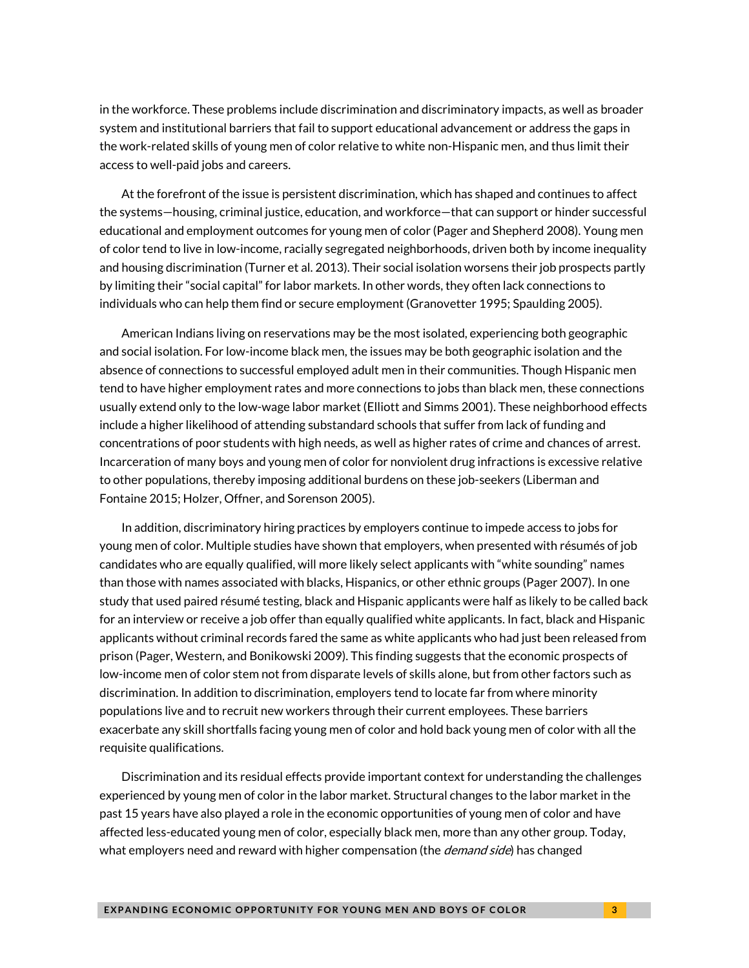in the workforce. These problems include discrimination and discriminatory impacts, as well as broader system and institutional barriers that fail to support educational advancement or address the gaps in the work-related skills of young men of color relative to white non-Hispanic men, and thus limit their access to well-paid jobs and careers.

At the forefront of the issue is persistent discrimination, which has shaped and continues to affect the systems—housing, criminal justice, education, and workforce—that can support or hinder successful educational and employment outcomes for young men of color (Pager and Shepherd 2008). Young men of color tend to live in low-income, racially segregated neighborhoods, driven both by income inequality and housing discrimination (Turner et al. 2013). Their social isolation worsens their job prospects partly by limiting their "social capital" for labor markets. In other words, they often lack connections to individuals who can help them find or secure employment (Granovetter 1995; Spaulding 2005).

American Indians living on reservations may be the most isolated, experiencing both geographic and social isolation. For low-income black men, the issues may be both geographic isolation and the absence of connections to successful employed adult men in their communities. Though Hispanic men tend to have higher employment rates and more connections to jobs than black men, these connections usually extend only to the low-wage labor market (Elliott and Simms 2001). These neighborhood effects include a higher likelihood of attending substandard schools that suffer from lack of funding and concentrations of poor students with high needs, as well as higher rates of crime and chances of arrest. Incarceration of many boys and young men of color for nonviolent drug infractions is excessive relative to other populations, thereby imposing additional burdens on these job-seekers (Liberman and Fontaine 2015; Holzer, Offner, and Sorenson 2005).

In addition, discriminatory hiring practices by employers continue to impede access to jobs for young men of color. Multiple studies have shown that employers, when presented with résumés of job candidates who are equally qualified, will more likely select applicants with "white sounding" names than those with names associated with blacks, Hispanics, or other ethnic groups (Pager 2007). In one study that used paired résumé testing, black and Hispanic applicants were half as likely to be called back for an interview or receive a job offer than equally qualified white applicants. In fact, black and Hispanic applicants without criminal records fared the same as white applicants who had just been released from prison (Pager, Western, and Bonikowski 2009). This finding suggests that the economic prospects of low-income men of color stem not from disparate levels of skills alone, but from other factors such as discrimination. In addition to discrimination, employers tend to locate far from where minority populations live and to recruit new workers through their current employees. These barriers exacerbate any skill shortfalls facing young men of color and hold back young men of color with all the requisite qualifications.

Discrimination and its residual effects provide important context for understanding the challenges experienced by young men of color in the labor market. Structural changes to the labor market in the past 15 years have also played a role in the economic opportunities of young men of color and have affected less-educated young men of color, especially black men, more than any other group. Today, what employers need and reward with higher compensation (the *demand side*) has changed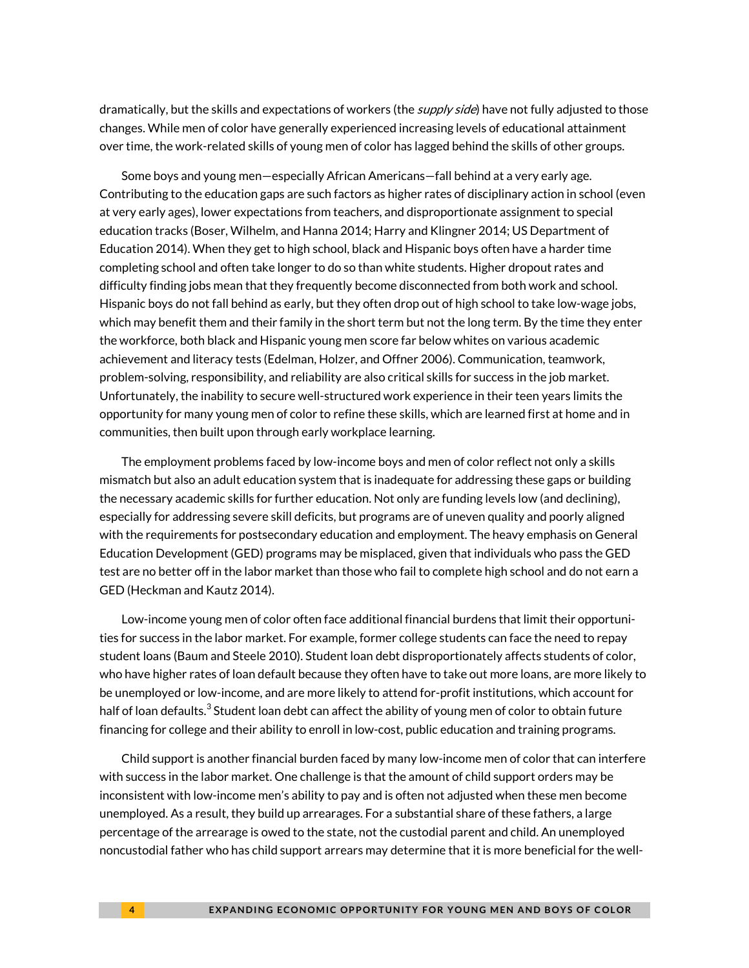dramatically, but the skills and expectations of workers (the *supply side*) have not fully adjusted to those changes. While men of color have generally experienced increasing levels of educational attainment over time, the work-related skills of young men of color has lagged behind the skills of other groups.

Some boys and young men—especially African Americans—fall behind at a very early age. Contributing to the education gaps are such factors as higher rates of disciplinary action in school (even at very early ages), lower expectations from teachers, and disproportionate assignment to special education tracks (Boser, Wilhelm, and Hanna 2014; Harry and Klingner 2014; US Department of Education 2014). When they get to high school, black and Hispanic boys often have a harder time completing school and often take longer to do so than white students. Higher dropout rates and difficulty finding jobs mean that they frequently become disconnected from both work and school. Hispanic boys do not fall behind as early, but they often drop out of high school to take low-wage jobs, which may benefit them and their family in the short term but not the long term. By the time they enter the workforce, both black and Hispanic young men score far below whites on various academic achievement and literacy tests (Edelman, Holzer, and Offner 2006). Communication, teamwork, problem-solving, responsibility, and reliability are also critical skills for success in the job market. Unfortunately, the inability to secure well-structured work experience in their teen years limits the opportunity for many young men of color to refine these skills, which are learned first at home and in communities, then built upon through early workplace learning.

The employment problems faced by low-income boys and men of color reflect not only a skills mismatch but also an adult education system that is inadequate for addressing these gaps or building the necessary academic skills for further education. Not only are funding levels low (and declining), especially for addressing severe skill deficits, but programs are of uneven quality and poorly aligned with the requirements for postsecondary education and employment. The heavy emphasis on General Education Development (GED) programs may be misplaced, given that individuals who pass the GED test are no better off in the labor market than those who fail to complete high school and do not earn a GED (Heckman and Kautz 2014).

Low-income young men of color often face additional financial burdens that limit their opportunities for success in the labor market. For example, former college students can face the need to repay student loans (Baum and Steele 2010). Student loan debt disproportionately affects students of color, who have higher rates of loan default because they often have to take out more loans, are more likely to be unemployed or low-income, and are more likely to attend for-profit institutions, which account for half of loan defaults. $^3$  $^3$  Student loan debt can affect the ability of young men of color to obtain future financing for college and their ability to enroll in low-cost, public education and training programs.

Child support is another financial burden faced by many low-income men of color that can interfere with success in the labor market. One challenge is that the amount of child support orders may be inconsistent with low-income men's ability to pay and is often not adjusted when these men become unemployed. As a result, they build up arrearages. For a substantial share of these fathers, a large percentage of the arrearage is owed to the state, not the custodial parent and child. An unemployed noncustodial father who has child support arrears may determine that it is more beneficial for the well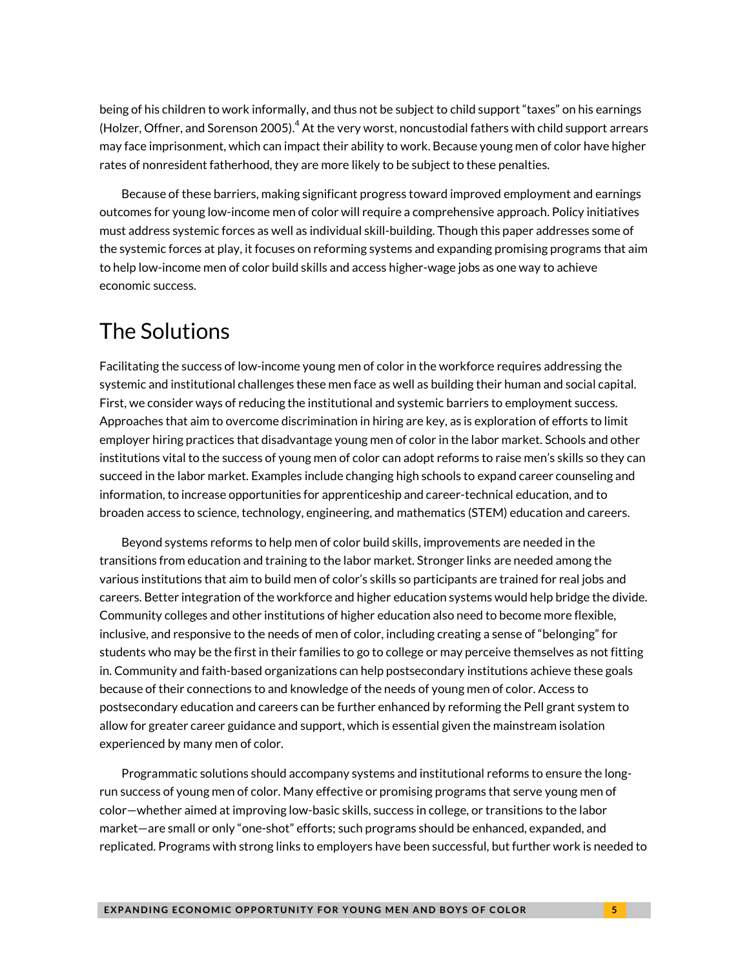being of his children to work informally, and thus not be subject to child support "taxes" on his earnings (Holzer, Offner, and Sorenson 2005). $^4$  $^4$  At the very worst, noncustodial fathers with child support arrears may face imprisonment, which can impact their ability to work. Because young men of color have higher rates of nonresident fatherhood, they are more likely to be subject to these penalties.

Because of these barriers, making significant progress toward improved employment and earnings outcomes for young low-income men of color will require a comprehensive approach. Policy initiatives must address systemic forces as well as individual skill-building. Though this paper addresses some of the systemic forces at play, it focuses on reforming systems and expanding promising programs that aim to help low-income men of color build skills and access higher-wage jobs as one way to achieve economic success.

### The Solutions

Facilitating the success of low-income young men of color in the workforce requires addressing the systemic and institutional challenges these men face as well as building their human and social capital. First, we consider ways of reducing the institutional and systemic barriers to employment success. Approaches that aim to overcome discrimination in hiring are key, as is exploration of efforts to limit employer hiring practices that disadvantage young men of color in the labor market. Schools and other institutions vital to the success of young men of color can adopt reforms to raise men's skills so they can succeed in the labor market. Examples include changing high schools to expand career counseling and information, to increase opportunities for apprenticeship and career-technical education, and to broaden access to science, technology, engineering, and mathematics (STEM) education and careers.

Beyond systems reforms to help men of color build skills, improvements are needed in the transitions from education and training to the labor market. Stronger links are needed among the various institutions that aim to build men of color's skills so participants are trained for real jobs and careers. Better integration of the workforce and higher education systems would help bridge the divide. Community colleges and other institutions of higher education also need to become more flexible, inclusive, and responsive to the needs of men of color, including creating a sense of "belonging" for students who may be the first in their families to go to college or may perceive themselves as not fitting in. Community and faith-based organizations can help postsecondary institutions achieve these goals because of their connections to and knowledge of the needs of young men of color. Access to postsecondary education and careers can be further enhanced by reforming the Pell grant system to allow for greater career guidance and support, which is essential given the mainstream isolation experienced by many men of color.

Programmatic solutions should accompany systems and institutional reforms to ensure the longrun success of young men of color. Many effective or promising programs that serve young men of color—whether aimed at improving low-basic skills, success in college, or transitions to the labor market—are small or only "one-shot" efforts; such programs should be enhanced, expanded, and replicated. Programs with strong links to employers have been successful, but further work is needed to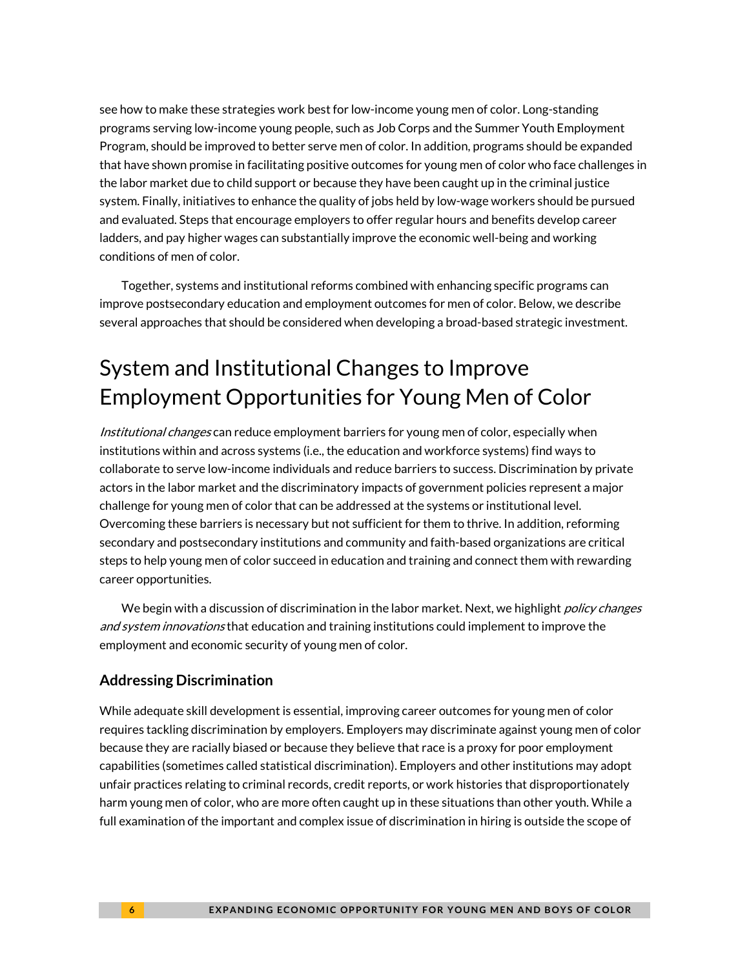see how to make these strategies work best for low-income young men of color. Long-standing programs serving low-income young people, such as Job Corps and the Summer Youth Employment Program, should be improved to better serve men of color. In addition, programs should be expanded that have shown promise in facilitating positive outcomes for young men of color who face challenges in the labor market due to child support or because they have been caught up in the criminal justice system. Finally, initiatives to enhance the quality of jobs held by low-wage workers should be pursued and evaluated. Steps that encourage employers to offer regular hours and benefits develop career ladders, and pay higher wages can substantially improve the economic well-being and working conditions of men of color.

Together, systems and institutional reforms combined with enhancing specific programs can improve postsecondary education and employment outcomes for men of color. Below, we describe several approaches that should be considered when developing a broad-based strategic investment.

# System and Institutional Changes to Improve Employment Opportunities for Young Men of Color

Institutional changes can reduce employment barriers for young men of color, especially when institutions within and across systems (i.e., the education and workforce systems) find ways to collaborate to serve low-income individuals and reduce barriers to success. Discrimination by private actors in the labor market and the discriminatory impacts of government policies represent a major challenge for young men of color that can be addressed at the systems or institutional level. Overcoming these barriers is necessary but not sufficient for them to thrive. In addition, reforming secondary and postsecondary institutions and community and faith-based organizations are critical steps to help young men of color succeed in education and training and connect them with rewarding career opportunities.

We begin with a discussion of discrimination in the labor market. Next, we highlight *policy changes* and system innovations that education and training institutions could implement to improve the employment and economic security of young men of color.

### **Addressing Discrimination**

While adequate skill development is essential, improving career outcomes for young men of color requires tackling discrimination by employers. Employers may discriminate against young men of color because they are racially biased or because they believe that race is a proxy for poor employment capabilities (sometimes called statistical discrimination). Employers and other institutions may adopt unfair practices relating to criminal records, credit reports, or work histories that disproportionately harm young men of color, who are more often caught up in these situations than other youth. While a full examination of the important and complex issue of discrimination in hiring is outside the scope of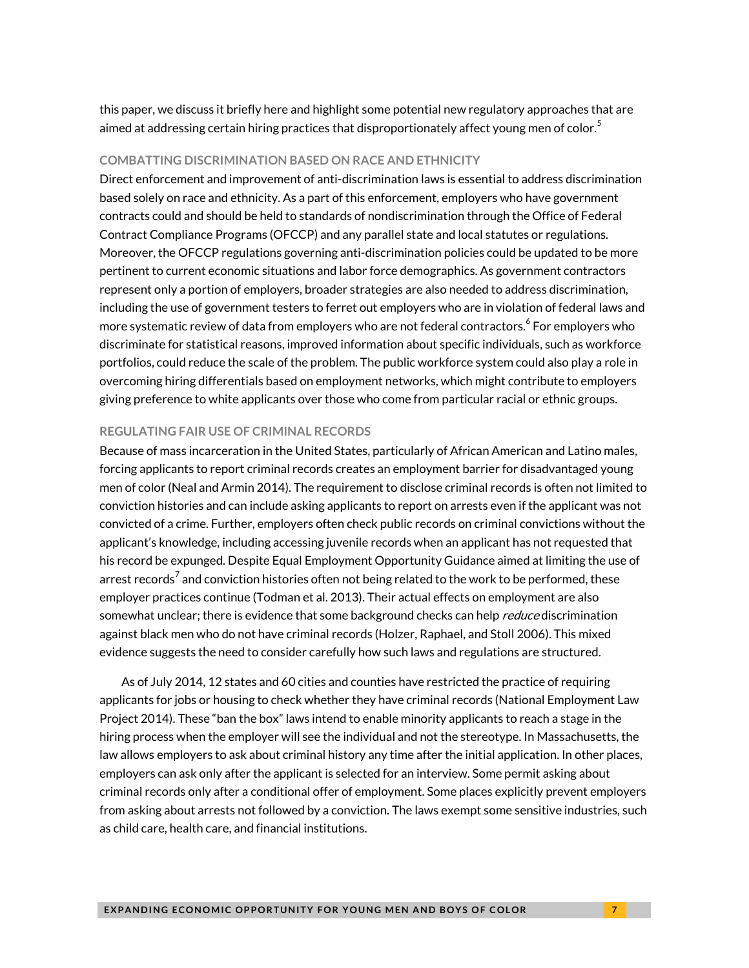this paper, we discuss it briefly here and highlight some potential new regulatory approaches that are aimed at addressing certain hiring practices that disproportionately affect young men of color. $^5$  $^5$ 

#### **COMBATTING DISCRIMINATION BASED ON RACE AND ETHNICITY**

Direct enforcement and improvement of anti-discrimination laws is essential to address discrimination based solely on race and ethnicity. As a part of this enforcement, employers who have government contracts could and should be held to standards of nondiscrimination through the Office of Federal Contract Compliance Programs (OFCCP) and any parallel state and local statutes or regulations. Moreover, the OFCCP regulations governing anti-discrimination policies could be updated to be more pertinent to current economic situations and labor force demographics. As government contractors represent only a portion of employers, broader strategies are also needed to address discrimination, including the use of government testers to ferret out employers who are in violation of federal laws and more systematic review of data from employers who are not federal contractors. $^6$  $^6$  For employers who discriminate for statistical reasons, improved information about specific individuals, such as workforce portfolios, could reduce the scale of the problem. The public workforce system could also play a role in overcoming hiring differentials based on employment networks, which might contribute to employers giving preference to white applicants over those who come from particular racial or ethnic groups.

#### **REGULATING FAIR USE OF CRIMINAL RECORDS**

Because of mass incarceration in the United States, particularly of African American and Latino males, forcing applicants to report criminal records creates an employment barrier for disadvantaged young men of color (Neal and Armin 2014). The requirement to disclose criminal records is often not limited to conviction histories and can include asking applicants to report on arrests even if the applicant was not convicted of a crime. Further, employers often check public records on criminal convictions without the applicant's knowledge, including accessing juvenile records when an applicant has not requested that his record be expunged. Despite Equal Employment Opportunity Guidance aimed at limiting the use of arrest records<sup>[7](#page-30-6)</sup> and conviction histories often not being related to the work to be performed, these employer practices continue (Todman et al. 2013). Their actual effects on employment are also somewhat unclear; there is evidence that some background checks can help *reduce* discrimination against black men who do not have criminal records (Holzer, Raphael, and Stoll 2006). This mixed evidence suggests the need to consider carefully how such laws and regulations are structured.

As of July 2014, 12 states and 60 cities and counties have restricted the practice of requiring applicants for jobs or housing to check whether they have criminal records (National Employment Law Project 2014). These "ban the box" laws intend to enable minority applicants to reach a stage in the hiring process when the employer will see the individual and not the stereotype. In Massachusetts, the law allows employers to ask about criminal history any time after the initial application. In other places, employers can ask only after the applicant is selected for an interview. Some permit asking about criminal records only after a conditional offer of employment. Some places explicitly prevent employers from asking about arrests not followed by a conviction. The laws exempt some sensitive industries, such as child care, health care, and financial institutions.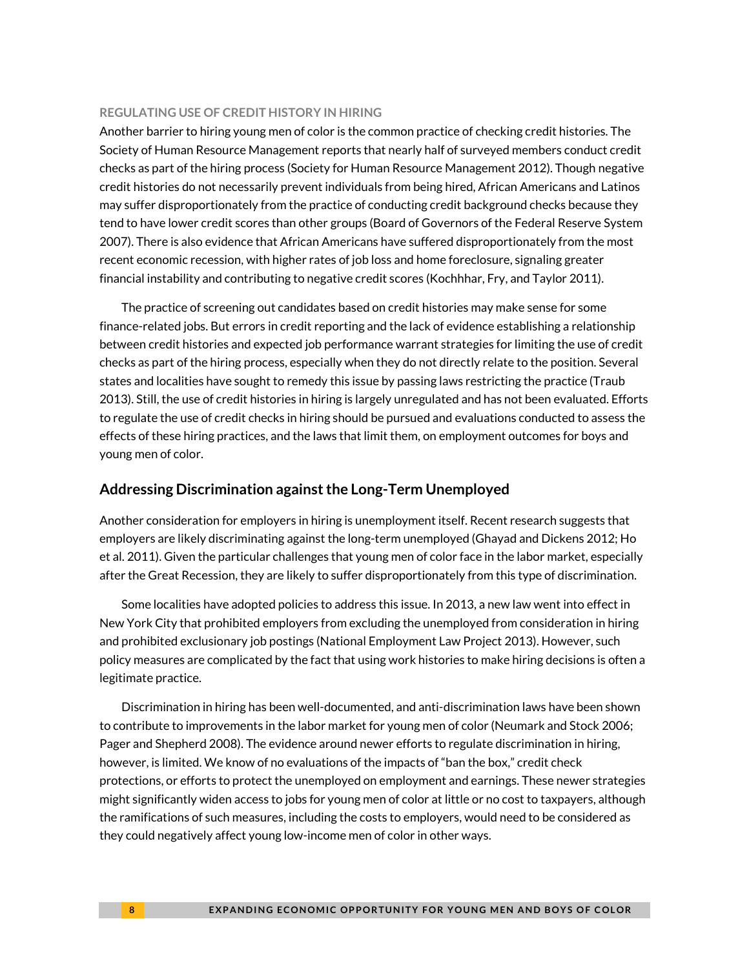#### **REGULATING USE OF CREDIT HISTORY IN HIRING**

Another barrier to hiring young men of color is the common practice of checking credit histories. The Society of Human Resource Management reports that nearly half of surveyed members conduct credit checks as part of the hiring process (Society for Human Resource Management 2012). Though negative credit histories do not necessarily prevent individuals from being hired, African Americans and Latinos may suffer disproportionately from the practice of conducting credit background checks because they tend to have lower credit scores than other groups (Board of Governors of the Federal Reserve System 2007). There is also evidence that African Americans have suffered disproportionately from the most recent economic recession, with higher rates of job loss and home foreclosure, signaling greater financial instability and contributing to negative credit scores (Kochhhar, Fry, and Taylor 2011).

The practice of screening out candidates based on credit histories may make sense for some finance-related jobs. But errors in credit reporting and the lack of evidence establishing a relationship between credit histories and expected job performance warrant strategies for limiting the use of credit checks as part of the hiring process, especially when they do not directly relate to the position. Several states and localities have sought to remedy this issue by passing laws restricting the practice (Traub 2013). Still, the use of credit histories in hiring is largely unregulated and has not been evaluated. Efforts to regulate the use of credit checks in hiring should be pursued and evaluations conducted to assess the effects of these hiring practices, and the laws that limit them, on employment outcomes for boys and young men of color.

#### **Addressing Discrimination against the Long-Term Unemployed**

Another consideration for employers in hiring is unemployment itself. Recent research suggests that employers are likely discriminating against the long-term unemployed (Ghayad and Dickens 2012; Ho et al. 2011). Given the particular challenges that young men of color face in the labor market, especially after the Great Recession, they are likely to suffer disproportionately from this type of discrimination.

Some localities have adopted policies to address this issue. In 2013, a new law went into effect in New York City that prohibited employers from excluding the unemployed from consideration in hiring and prohibited exclusionary job postings (National Employment Law Project 2013). However, such policy measures are complicated by the fact that using work histories to make hiring decisions is often a legitimate practice.

Discrimination in hiring has been well-documented, and anti-discrimination laws have been shown to contribute to improvements in the labor market for young men of color (Neumark and Stock 2006; Pager and Shepherd 2008). The evidence around newer efforts to regulate discrimination in hiring, however, is limited. We know of no evaluations of the impacts of "ban the box," credit check protections, or efforts to protect the unemployed on employment and earnings. These newer strategies might significantly widen access to jobs for young men of color at little or no cost to taxpayers, although the ramifications of such measures, including the costs to employers, would need to be considered as they could negatively affect young low-income men of color in other ways.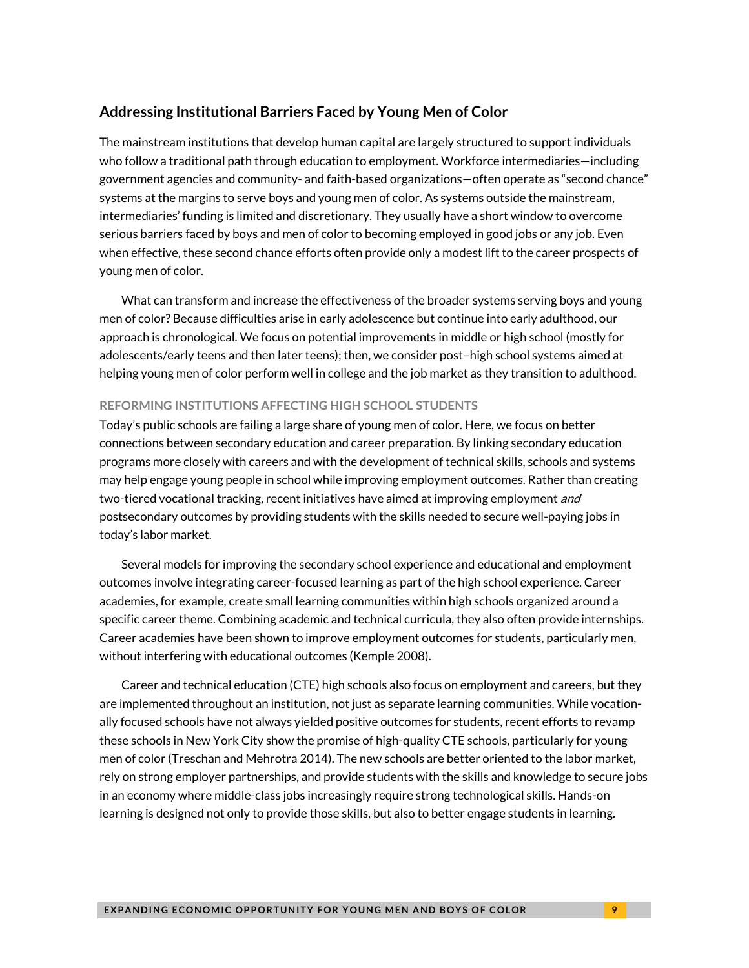#### **Addressing Institutional Barriers Faced by Young Men of Color**

The mainstream institutions that develop human capital are largely structured to support individuals who follow a traditional path through education to employment. Workforce intermediaries—including government agencies and community- and faith-based organizations—often operate as "second chance" systems at the margins to serve boys and young men of color. As systems outside the mainstream, intermediaries' funding is limited and discretionary. They usually have a short window to overcome serious barriers faced by boys and men of color to becoming employed in good jobs or any job. Even when effective, these second chance efforts often provide only a modest lift to the career prospects of young men of color.

What can transform and increase the effectiveness of the broader systems serving boys and young men of color? Because difficulties arise in early adolescence but continue into early adulthood, our approach is chronological. We focus on potential improvements in middle or high school (mostly for adolescents/early teens and then later teens); then, we consider post–high school systems aimed at helping young men of color perform well in college and the job market as they transition to adulthood.

#### **REFORMING INSTITUTIONS AFFECTING HIGH SCHOOL STUDENTS**

Today's public schools are failing a large share of young men of color. Here, we focus on better connections between secondary education and career preparation. By linking secondary education programs more closely with careers and with the development of technical skills, schools and systems may help engage young people in school while improving employment outcomes. Rather than creating two-tiered vocational tracking, recent initiatives have aimed at improving employment *and* postsecondary outcomes by providing students with the skills needed to secure well-paying jobs in today's labor market.

Several models for improving the secondary school experience and educational and employment outcomes involve integrating career-focused learning as part of the high school experience. Career academies, for example, create small learning communities within high schools organized around a specific career theme. Combining academic and technical curricula, they also often provide internships. Career academies have been shown to improve employment outcomes for students, particularly men, without interfering with educational outcomes (Kemple 2008).

Career and technical education (CTE) high schools also focus on employment and careers, but they are implemented throughout an institution, not just as separate learning communities. While vocationally focused schools have not always yielded positive outcomes for students, recent efforts to revamp these schools in New York City show the promise of high-quality CTE schools, particularly for young men of color (Treschan and Mehrotra 2014). The new schools are better oriented to the labor market, rely on strong employer partnerships, and provide students with the skills and knowledge to secure jobs in an economy where middle-class jobs increasingly require strong technological skills. Hands-on learning is designed not only to provide those skills, but also to better engage students in learning.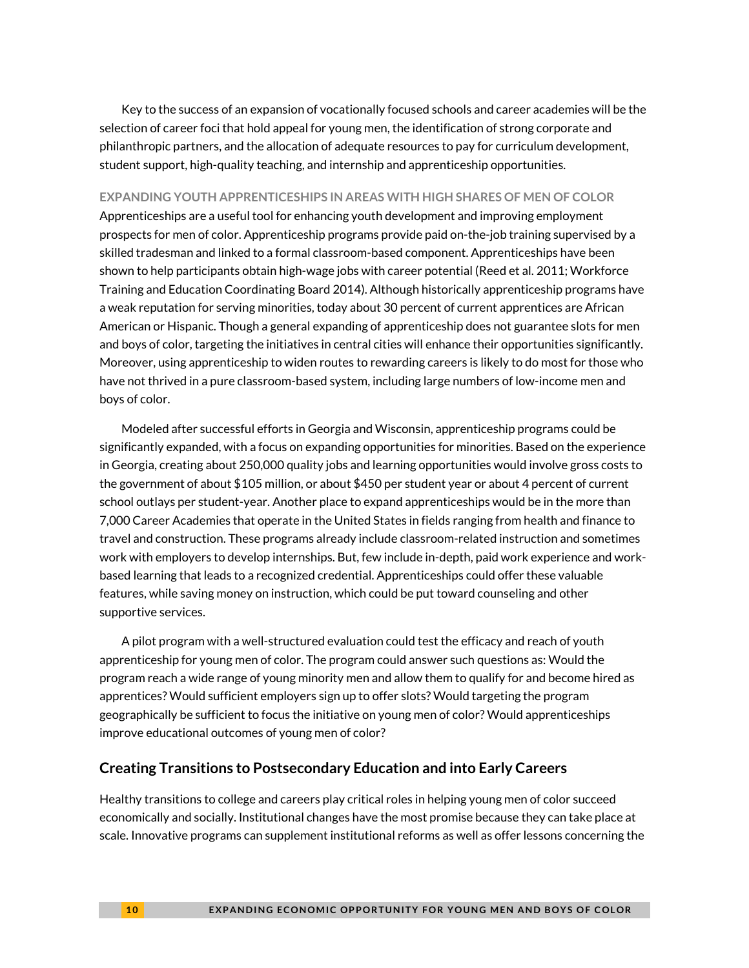Key to the success of an expansion of vocationally focused schools and career academies will be the selection of career foci that hold appeal for young men, the identification of strong corporate and philanthropic partners, and the allocation of adequate resources to pay for curriculum development, student support, high-quality teaching, and internship and apprenticeship opportunities.

#### **EXPANDING YOUTH APPRENTICESHIPS IN AREAS WITH HIGH SHARES OF MEN OF COLOR**

Apprenticeships are a useful tool for enhancing youth development and improving employment prospects for men of color. Apprenticeship programs provide paid on-the-job training supervised by a skilled tradesman and linked to a formal classroom-based component. Apprenticeships have been shown to help participants obtain high-wage jobs with career potential (Reed et al. 2011; Workforce Training and Education Coordinating Board 2014). Although historically apprenticeship programs have a weak reputation for serving minorities, today about 30 percent of current apprentices are African American or Hispanic. Though a general expanding of apprenticeship does not guarantee slots for men and boys of color, targeting the initiatives in central cities will enhance their opportunities significantly. Moreover, using apprenticeship to widen routes to rewarding careers is likely to do most for those who have not thrived in a pure classroom-based system, including large numbers of low-income men and boys of color.

Modeled after successful efforts in Georgia and Wisconsin, apprenticeship programs could be significantly expanded, with a focus on expanding opportunities for minorities. Based on the experience in Georgia, creating about 250,000 quality jobs and learning opportunities would involve gross costs to the government of about \$105 million, or about \$450 per student year or about 4 percent of current school outlays per student-year. Another place to expand apprenticeships would be in the more than 7,000 Career Academies that operate in the United States in fields ranging from health and finance to travel and construction. These programs already include classroom-related instruction and sometimes work with employers to develop internships. But, few include in-depth, paid work experience and workbased learning that leads to a recognized credential. Apprenticeships could offer these valuable features, while saving money on instruction, which could be put toward counseling and other supportive services.

A pilot program with a well-structured evaluation could test the efficacy and reach of youth apprenticeship for young men of color. The program could answer such questions as: Would the program reach a wide range of young minority men and allow them to qualify for and become hired as apprentices? Would sufficient employers sign up to offer slots? Would targeting the program geographically be sufficient to focus the initiative on young men of color? Would apprenticeships improve educational outcomes of young men of color?

### **Creating Transitions to Postsecondary Education and into Early Careers**

Healthy transitions to college and careers play critical roles in helping young men of color succeed economically and socially. Institutional changes have the most promise because they can take place at scale. Innovative programs can supplement institutional reforms as well as offer lessons concerning the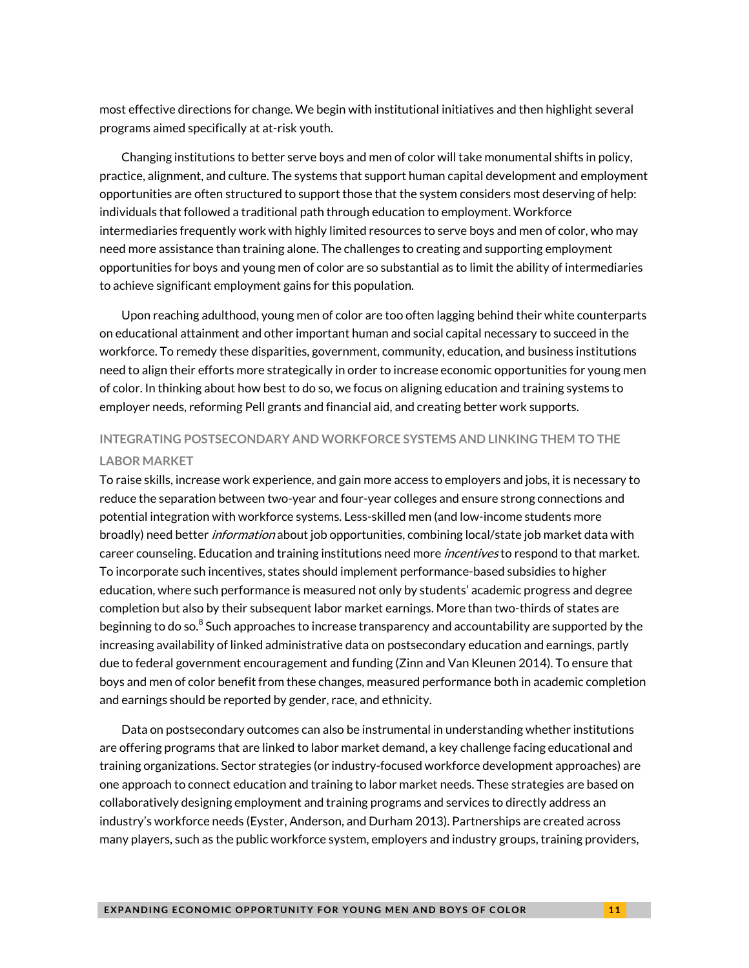most effective directions for change. We begin with institutional initiatives and then highlight several programs aimed specifically at at-risk youth.

Changing institutions to better serve boys and men of color will take monumental shifts in policy, practice, alignment, and culture. The systems that support human capital development and employment opportunities are often structured to support those that the system considers most deserving of help: individuals that followed a traditional path through education to employment. Workforce intermediaries frequently work with highly limited resources to serve boys and men of color, who may need more assistance than training alone. The challenges to creating and supporting employment opportunities for boys and young men of color are so substantial as to limit the ability of intermediaries to achieve significant employment gains for this population.

Upon reaching adulthood, young men of color are too often lagging behind their white counterparts on educational attainment and other important human and social capital necessary to succeed in the workforce. To remedy these disparities, government, community, education, and business institutions need to align their efforts more strategically in order to increase economic opportunities for young men of color. In thinking about how best to do so, we focus on aligning education and training systems to employer needs, reforming Pell grants and financial aid, and creating better work supports.

### **INTEGRATING POSTSECONDARY AND WORKFORCE SYSTEMS AND LINKING THEM TO THE LABOR MARKET**

To raise skills, increase work experience, and gain more access to employers and jobs, it is necessary to reduce the separation between two-year and four-year colleges and ensure strong connections and potential integration with workforce systems. Less-skilled men (and low-income students more broadly) need better *information* about job opportunities, combining local/state job market data with career counseling. Education and training institutions need more *incentives* to respond to that market. To incorporate such incentives, states should implement performance-based subsidies to higher education, where such performance is measured not only by students' academic progress and degree completion but also by their subsequent labor market earnings. More than two-thirds of states are beginning to do so. $^8$  $^8$  Such approaches to increase transparency and accountability are supported by the increasing availability of linked administrative data on postsecondary education and earnings, partly due to federal government encouragement and funding (Zinn and Van Kleunen 2014). To ensure that boys and men of color benefit from these changes, measured performance both in academic completion and earnings should be reported by gender, race, and ethnicity.

Data on postsecondary outcomes can also be instrumental in understanding whether institutions are offering programs that are linked to labor market demand, a key challenge facing educational and training organizations. Sector strategies (or industry-focused workforce development approaches) are one approach to connect education and training to labor market needs. These strategies are based on collaboratively designing employment and training programs and services to directly address an industry's workforce needs (Eyster, Anderson, and Durham 2013). Partnerships are created across many players, such as the public workforce system, employers and industry groups, training providers,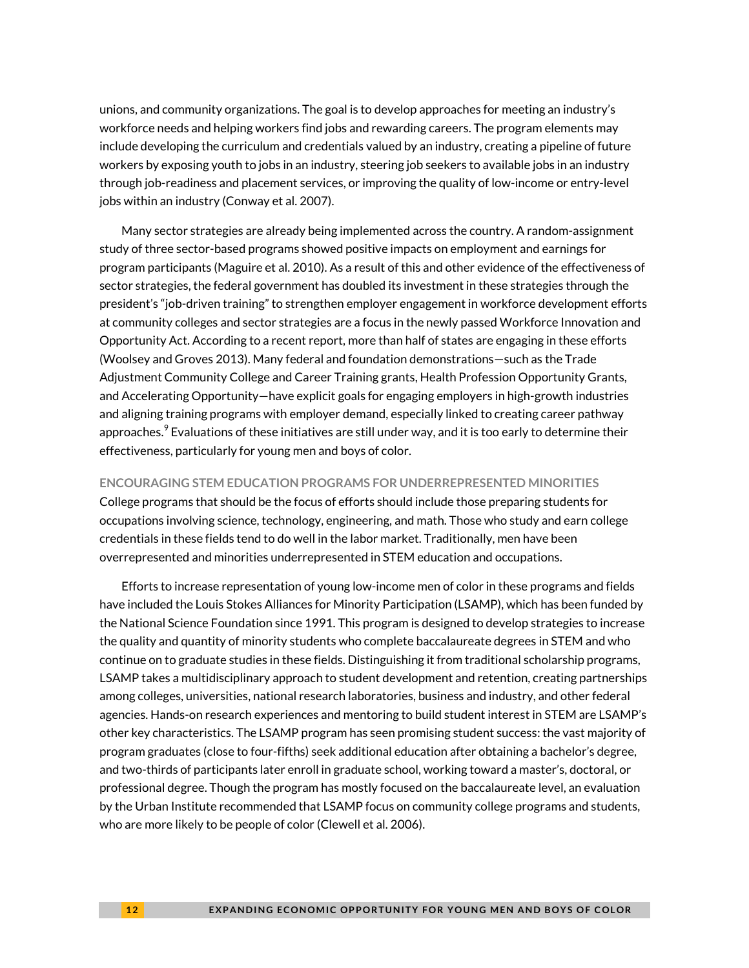unions, and community organizations. The goal is to develop approaches for meeting an industry's workforce needs and helping workers find jobs and rewarding careers. The program elements may include developing the curriculum and credentials valued by an industry, creating a pipeline of future workers by exposing youth to jobs in an industry, steering job seekers to available jobs in an industry through job-readiness and placement services, or improving the quality of low-income or entry-level jobs within an industry (Conway et al. 2007).

Many sector strategies are already being implemented across the country. A random-assignment study of three sector-based programs showed positive impacts on employment and earnings for program participants (Maguire et al. 2010). As a result of this and other evidence of the effectiveness of sector strategies, the federal government has doubled its investment in these strategies through the president's "job-driven training" to strengthen employer engagement in workforce development efforts at community colleges and sector strategies are a focus in the newly passed Workforce Innovation and Opportunity Act. According to a recent report, more than half of states are engaging in these efforts (Woolsey and Groves 2013). Many federal and foundation demonstrations—such as the Trade Adjustment Community College and Career Training grants, Health Profession Opportunity Grants, and Accelerating Opportunity—have explicit goals for engaging employers in high-growth industries and aligning training programs with employer demand, especially linked to creating career pathway approaches. $^9$  $^9$  Evaluations of these initiatives are still under way, and it is too early to determine their  $\,$ effectiveness, particularly for young men and boys of color.

#### **ENCOURAGING STEM EDUCATION PROGRAMS FOR UNDERREPRESENTED MINORITIES**

College programs that should be the focus of efforts should include those preparing students for occupations involving science, technology, engineering, and math. Those who study and earn college credentials in these fields tend to do well in the labor market. Traditionally, men have been overrepresented and minorities underrepresented in STEM education and occupations.

Efforts to increase representation of young low-income men of color in these programs and fields have included the Louis Stokes Alliances for Minority Participation (LSAMP), which has been funded by the National Science Foundation since 1991. This program is designed to develop strategies to increase the quality and quantity of minority students who complete baccalaureate degrees in STEM and who continue on to graduate studies in these fields. Distinguishing it from traditional scholarship programs, LSAMP takes a multidisciplinary approach to student development and retention, creating partnerships among colleges, universities, national research laboratories, business and industry, and other federal agencies. Hands-on research experiences and mentoring to build student interest in STEM are LSAMP's other key characteristics. The LSAMP program has seen promising student success: the vast majority of program graduates (close to four-fifths) seek additional education after obtaining a bachelor's degree, and two-thirds of participants later enroll in graduate school, working toward a master's, doctoral, or professional degree. Though the program has mostly focused on the baccalaureate level, an evaluation by the Urban Institute recommended that LSAMP focus on community college programs and students, who are more likely to be people of color (Clewell et al. 2006).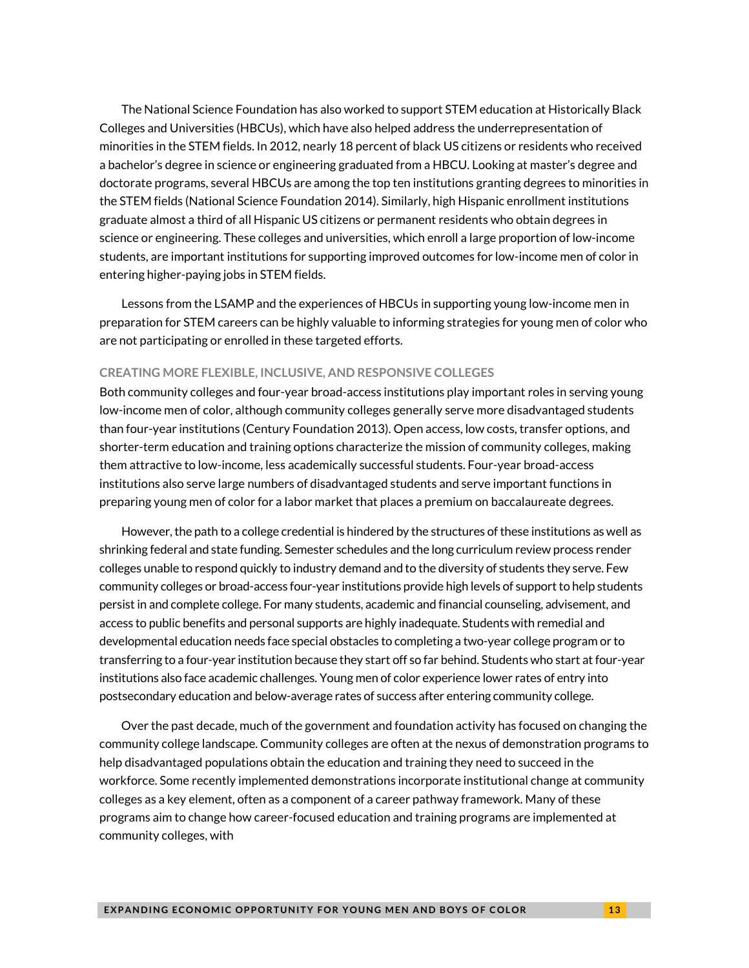The National Science Foundation has also worked to support STEM education at Historically Black Colleges and Universities (HBCUs), which have also helped address the underrepresentation of minorities in the STEM fields. In 2012, nearly 18 percent of black US citizens or residents who received a bachelor's degree in science or engineering graduated from a HBCU. Looking at master's degree and doctorate programs, several HBCUs are among the top ten institutions granting degrees to minorities in the STEM fields (National Science Foundation 2014). Similarly, high Hispanic enrollment institutions graduate almost a third of all Hispanic US citizens or permanent residents who obtain degrees in science or engineering. These colleges and universities, which enroll a large proportion of low-income students, are important institutions for supporting improved outcomes for low-income men of color in entering higher-paying jobs in STEM fields.

Lessons from the LSAMP and the experiences of HBCUs in supporting young low-income men in preparation for STEM careers can be highly valuable to informing strategies for young men of color who are not participating or enrolled in these targeted efforts.

#### **CREATING MORE FLEXIBLE, INCLUSIVE, AND RESPONSIVE COLLEGES**

Both community colleges and four-year broad-access institutions play important roles in serving young low-income men of color, although community colleges generally serve more disadvantaged students than four-year institutions (Century Foundation 2013). Open access, low costs, transfer options, and shorter-term education and training options characterize the mission of community colleges, making them attractive to low-income, less academically successful students. Four-year broad-access institutions also serve large numbers of disadvantaged students and serve important functions in preparing young men of color for a labor market that places a premium on baccalaureate degrees.

However, the path to a college credential is hindered by the structures of these institutions as well as shrinking federal and state funding. Semester schedules and the long curriculum review process render colleges unable to respond quickly to industry demand and to the diversity of students they serve. Few community colleges or broad-access four-year institutions provide high levels of support to help students persist in and complete college. For many students, academic and financial counseling, advisement, and access to public benefits and personal supports are highly inadequate. Students with remedial and developmental education needs face special obstacles to completing a two-year college program or to transferring to a four-year institution because they start off so far behind. Students who start at four-year institutions also face academic challenges. Young men of color experience lower rates of entry into postsecondary education and below-average rates of success after entering community college.

Over the past decade, much of the government and foundation activity has focused on changing the community college landscape. Community colleges are often at the nexus of demonstration programs to help disadvantaged populations obtain the education and training they need to succeed in the workforce. Some recently implemented demonstrations incorporate institutional change at community colleges as a key element, often as a component of a career pathway framework. Many of these programs aim to change how career-focused education and training programs are implemented at community colleges, with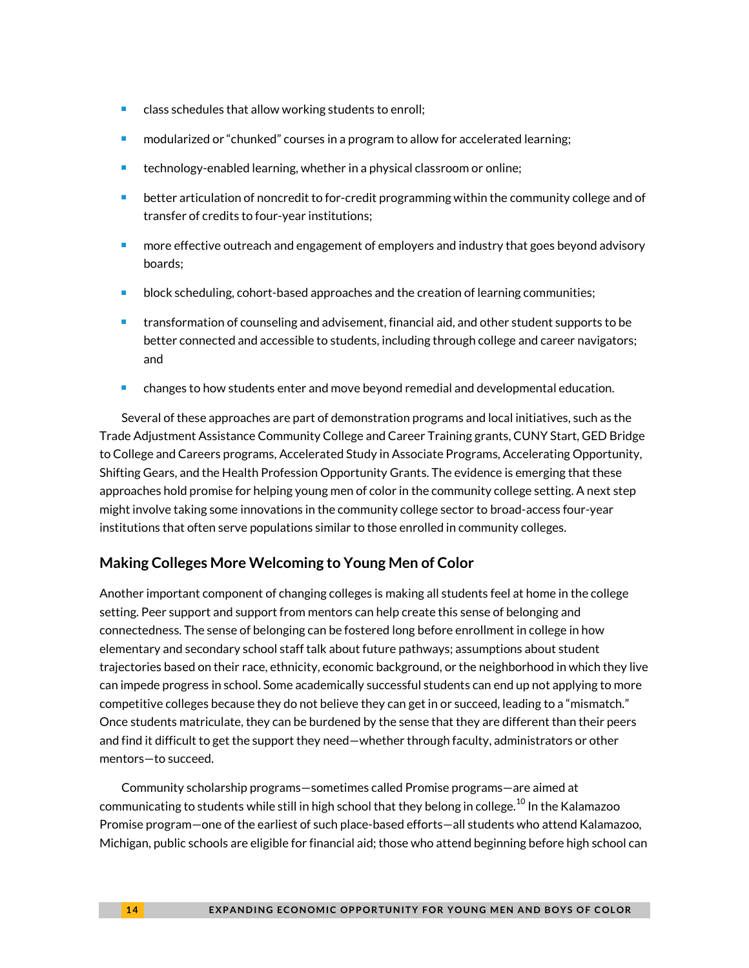- $\blacksquare$  class schedules that allow working students to enroll;
- modularized or "chunked" courses in a program to allow for accelerated learning;
- **technology-enabled learning, whether in a physical classroom or online;**
- better articulation of noncredit to for-credit programming within the community college and of transfer of credits to four-year institutions;
- more effective outreach and engagement of employers and industry that goes beyond advisory boards;
- block scheduling, cohort-based approaches and the creation of learning communities;
- transformation of counseling and advisement, financial aid, and other student supports to be better connected and accessible to students, including through college and career navigators; and
- **E** changes to how students enter and move beyond remedial and developmental education.

Several of these approaches are part of demonstration programs and local initiatives, such as the Trade Adjustment Assistance Community College and Career Training grants, CUNY Start, GED Bridge to College and Careers programs, Accelerated Study in Associate Programs, Accelerating Opportunity, Shifting Gears, and the Health Profession Opportunity Grants. The evidence is emerging that these approaches hold promise for helping young men of color in the community college setting. A next step might involve taking some innovations in the community college sector to broad-access four-year institutions that often serve populations similar to those enrolled in community colleges.

### **Making Colleges More Welcoming to Young Men of Color**

Another important component of changing colleges is making all students feel at home in the college setting. Peer support and support from mentors can help create this sense of belonging and connectedness. The sense of belonging can be fostered long before enrollment in college in how elementary and secondary school staff talk about future pathways; assumptions about student trajectories based on their race, ethnicity, economic background, or the neighborhood in which they live can impede progress in school. Some academically successful students can end up not applying to more competitive colleges because they do not believe they can get in or succeed, leading to a "mismatch." Once students matriculate, they can be burdened by the sense that they are different than their peers and find it difficult to get the support they need—whether through faculty, administrators or other mentors—to succeed.

Community scholarship programs—sometimes called Promise programs—are aimed at communicating to students while still in high school that they belong in college. $^{10}$  $^{10}$  $^{10}$  In the Kalamazoo Promise program—one of the earliest of such place-based efforts—all students who attend Kalamazoo, Michigan, public schools are eligible for financial aid; those who attend beginning before high school can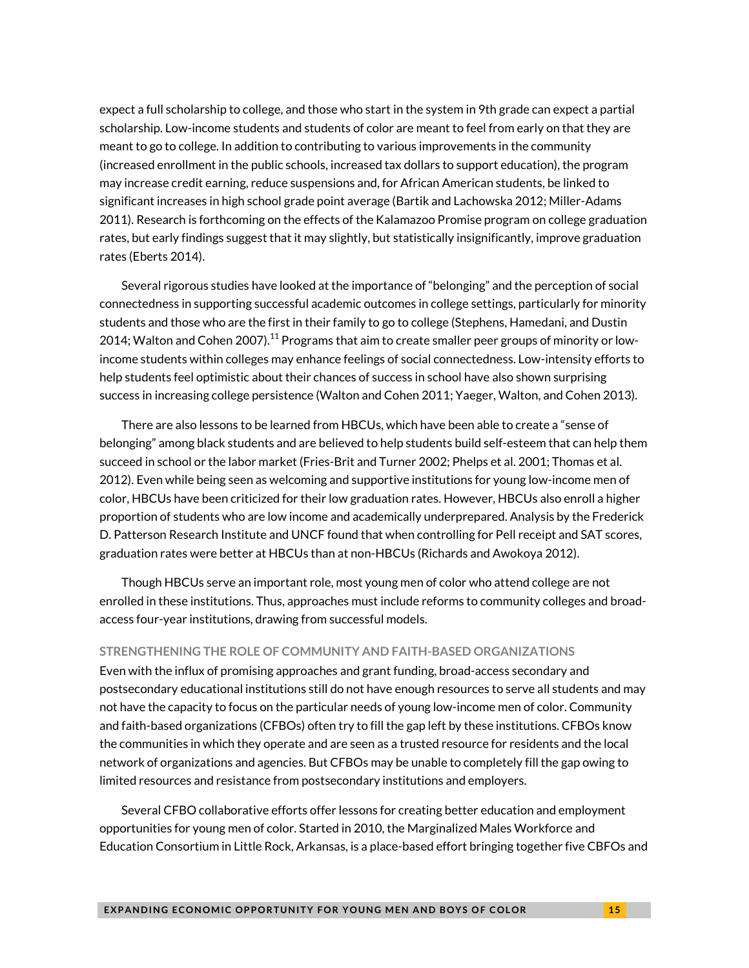expect a full scholarship to college, and those who start in the system in 9th grade can expect a partial scholarship. Low-income students and students of color are meant to feel from early on that they are meant to go to college. In addition to contributing to various improvements in the community (increased enrollment in the public schools, increased tax dollars to support education), the program may increase credit earning, reduce suspensions and, for African American students, be linked to significant increases in high school grade point average (Bartik and Lachowska 2012; Miller-Adams 2011). Research is forthcoming on the effects of the Kalamazoo Promise program on college graduation rates, but early findings suggest that it may slightly, but statistically insignificantly, improve graduation rates (Eberts 2014).

Several rigorous studies have looked at the importance of "belonging" and the perception of social connectedness in supporting successful academic outcomes in college settings, particularly for minority students and those who are the first in their family to go to college (Stephens, Hamedani, and Dustin 2014; Walton and Cohen 2007). $^{11}$  $^{11}$  $^{11}$  Programs that aim to create smaller peer groups of minority or lowincome students within colleges may enhance feelings of social connectedness. Low-intensity efforts to help students feel optimistic about their chances of success in school have also shown surprising success in increasing college persistence (Walton and Cohen 2011; Yaeger, Walton, and Cohen 2013).

There are also lessons to be learned from HBCUs, which have been able to create a "sense of belonging" among black students and are believed to help students build self-esteem that can help them succeed in school or the labor market (Fries-Brit and Turner 2002; Phelps et al. 2001; Thomas et al. 2012). Even while being seen as welcoming and supportive institutions for young low-income men of color, HBCUs have been criticized for their low graduation rates. However, HBCUs also enroll a higher proportion of students who are low income and academically underprepared. Analysis by the Frederick D. Patterson Research Institute and UNCF found that when controlling for Pell receipt and SAT scores, graduation rates were better at HBCUs than at non-HBCUs (Richards and Awokoya 2012).

Though HBCUs serve an important role, most young men of color who attend college are not enrolled in these institutions. Thus, approaches must include reforms to community colleges and broadaccess four-year institutions, drawing from successful models.

#### **STRENGTHENING THE ROLE OF COMMUNITY AND FAITH-BASED ORGANIZATIONS**

Even with the influx of promising approaches and grant funding, broad-access secondary and postsecondary educational institutions still do not have enough resources to serve all students and may not have the capacity to focus on the particular needs of young low-income men of color. Community and faith-based organizations (CFBOs) often try to fill the gap left by these institutions. CFBOs know the communities in which they operate and are seen as a trusted resource for residents and the local network of organizations and agencies. But CFBOs may be unable to completely fill the gap owing to limited resources and resistance from postsecondary institutions and employers.

Several CFBO collaborative efforts offer lessons for creating better education and employment opportunities for young men of color. Started in 2010, the Marginalized Males Workforce and Education Consortium in Little Rock, Arkansas, is a place-based effort bringing together five CBFOs and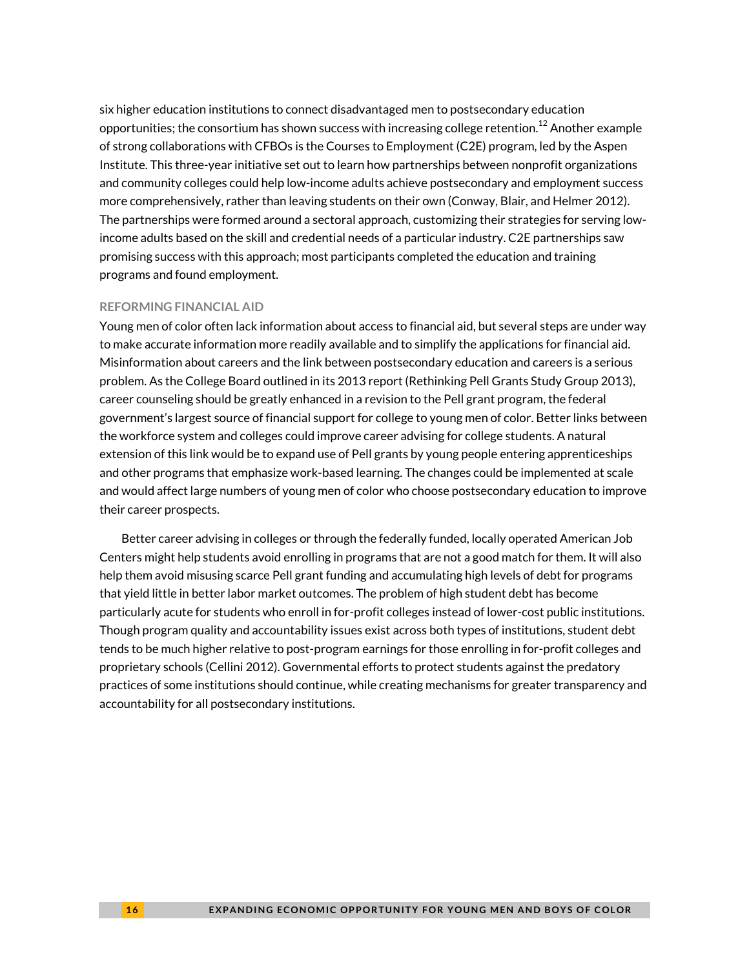six higher education institutions to connect disadvantaged men to postsecondary education opportunities; the consortium has shown success with increasing college retention. $^{12}$  $^{12}$  $^{12}$  Another example of strong collaborations with CFBOs is the Courses to Employment (C2E) program, led by the Aspen Institute. This three-year initiative set out to learn how partnerships between nonprofit organizations and community colleges could help low-income adults achieve postsecondary and employment success more comprehensively, rather than leaving students on their own (Conway, Blair, and Helmer 2012). The partnerships were formed around a sectoral approach, customizing their strategies for serving lowincome adults based on the skill and credential needs of a particular industry. C2E partnerships saw promising success with this approach; most participants completed the education and training programs and found employment.

#### **REFORMING FINANCIAL AID**

Young men of color often lack information about access to financial aid, but several steps are under way to make accurate information more readily available and to simplify the applications for financial aid. Misinformation about careers and the link between postsecondary education and careers is a serious problem. As the College Board outlined in its 2013 report (Rethinking Pell Grants Study Group 2013), career counseling should be greatly enhanced in a revision to the Pell grant program, the federal government's largest source of financial support for college to young men of color. Better links between the workforce system and colleges could improve career advising for college students. A natural extension of this link would be to expand use of Pell grants by young people entering apprenticeships and other programs that emphasize work-based learning. The changes could be implemented at scale and would affect large numbers of young men of color who choose postsecondary education to improve their career prospects.

Better career advising in colleges or through the federally funded, locally operated American Job Centers might help students avoid enrolling in programs that are not a good match for them. It will also help them avoid misusing scarce Pell grant funding and accumulating high levels of debt for programs that yield little in better labor market outcomes. The problem of high student debt has become particularly acute for students who enroll in for-profit colleges instead of lower-cost public institutions. Though program quality and accountability issues exist across both types of institutions, student debt tends to be much higher relative to post-program earnings for those enrolling in for-profit colleges and proprietary schools (Cellini 2012). Governmental efforts to protect students against the predatory practices of some institutions should continue, while creating mechanisms for greater transparency and accountability for all postsecondary institutions.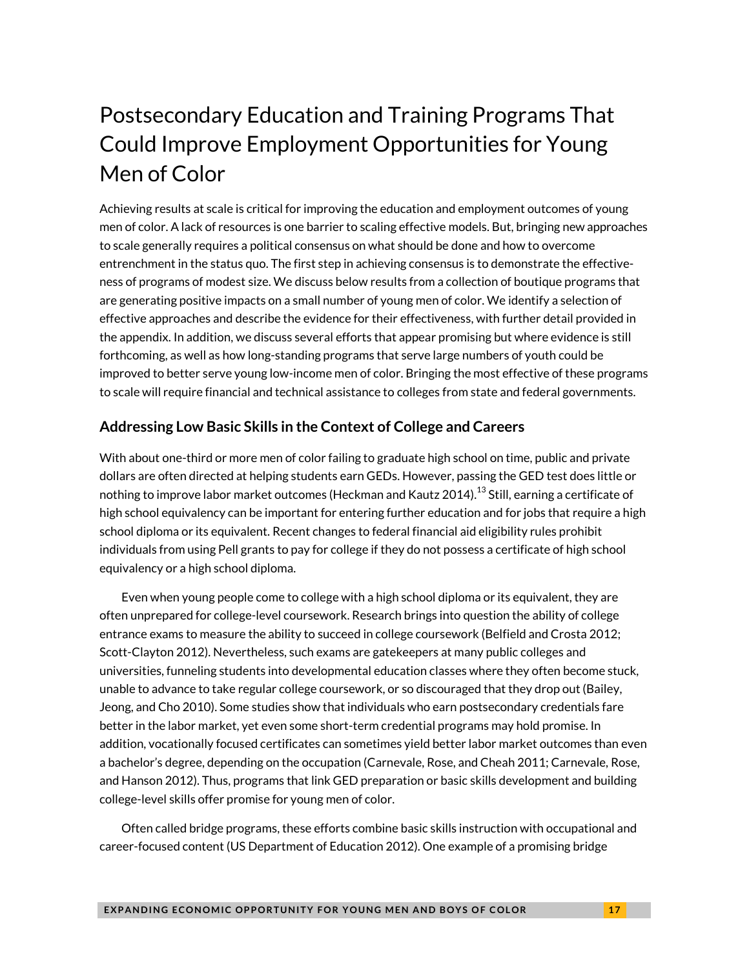# Postsecondary Education and Training Programs That Could Improve Employment Opportunities for Young Men of Color

Achieving results at scale is critical for improving the education and employment outcomes of young men of color. A lack of resources is one barrier to scaling effective models. But, bringing new approaches to scale generally requires a political consensus on what should be done and how to overcome entrenchment in the status quo. The first step in achieving consensus is to demonstrate the effectiveness of programs of modest size. We discuss below results from a collection of boutique programs that are generating positive impacts on a small number of young men of color. We identify a selection of effective approaches and describe the evidence for their effectiveness, with further detail provided in the appendix. In addition, we discuss several efforts that appear promising but where evidence is still forthcoming, as well as how long-standing programs that serve large numbers of youth could be improved to better serve young low-income men of color. Bringing the most effective of these programs to scale will require financial and technical assistance to colleges from state and federal governments.

### **Addressing Low Basic Skills in the Context of College and Careers**

With about one-third or more men of color failing to graduate high school on time, public and private dollars are often directed at helping students earn GEDs. However, passing the GED test does little or nothing to improve labor market outcomes (Heckman and Kautz 2014). $^{\rm 13}$  $^{\rm 13}$  $^{\rm 13}$  Still, earning a certificate of high school equivalency can be important for entering further education and for jobs that require a high school diploma or its equivalent. Recent changes to federal financial aid eligibility rules prohibit individuals from using Pell grants to pay for college if they do not possess a certificate of high school equivalency or a high school diploma.

Even when young people come to college with a high school diploma or its equivalent, they are often unprepared for college-level coursework. Research brings into question the ability of college entrance exams to measure the ability to succeed in college coursework (Belfield and Crosta 2012; Scott-Clayton 2012). Nevertheless, such exams are gatekeepers at many public colleges and universities, funneling students into developmental education classes where they often become stuck, unable to advance to take regular college coursework, or so discouraged that they drop out (Bailey, Jeong, and Cho 2010). Some studies show that individuals who earn postsecondary credentials fare better in the labor market, yet even some short-term credential programs may hold promise. In addition, vocationally focused certificates can sometimes yield better labor market outcomes than even a bachelor's degree, depending on the occupation (Carnevale, Rose, and Cheah 2011; Carnevale, Rose, and Hanson 2012). Thus, programs that link GED preparation or basic skills development and building college-level skills offer promise for young men of color.

Often called bridge programs, these efforts combine basic skills instruction with occupational and career-focused content (US Department of Education 2012). One example of a promising bridge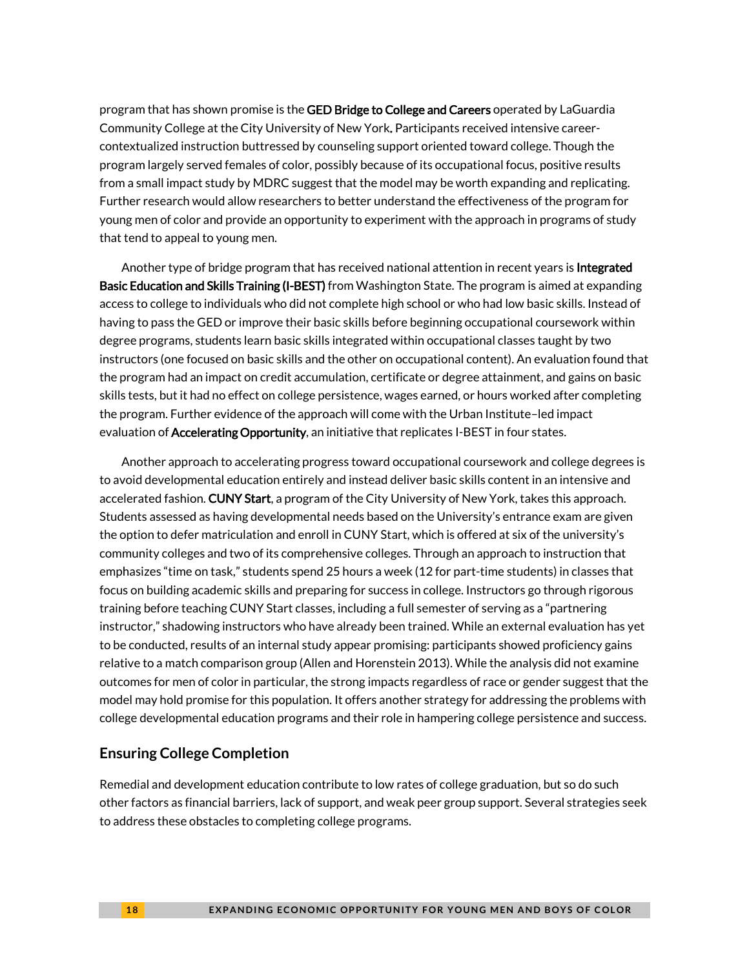program that has shown promise is the GED Bridge to College and Careers operated by LaGuardia Community College at the City University of New York. Participants received intensive careercontextualized instruction buttressed by counseling support oriented toward college. Though the program largely served females of color, possibly because of its occupational focus, positive results from a small impact study by MDRC suggest that the model may be worth expanding and replicating. Further research would allow researchers to better understand the effectiveness of the program for young men of color and provide an opportunity to experiment with the approach in programs of study that tend to appeal to young men.

Another type of bridge program that has received national attention in recent years is Integrated Basic Education and Skills Training (I-BEST) from Washington State. The program is aimed at expanding access to college to individuals who did not complete high school or who had low basic skills. Instead of having to pass the GED or improve their basic skills before beginning occupational coursework within degree programs, students learn basic skills integrated within occupational classes taught by two instructors (one focused on basic skills and the other on occupational content). An evaluation found that the program had an impact on credit accumulation, certificate or degree attainment, and gains on basic skills tests, but it had no effect on college persistence, wages earned, or hours worked after completing the program. Further evidence of the approach will come with the Urban Institute–led impact evaluation of **Accelerating Opportunity**, an initiative that replicates I-BEST in four states.

Another approach to accelerating progress toward occupational coursework and college degrees is to avoid developmental education entirely and instead deliver basic skills content in an intensive and accelerated fashion. CUNY Start, a program of the City University of New York, takes this approach. Students assessed as having developmental needs based on the University's entrance exam are given the option to defer matriculation and enroll in CUNY Start, which is offered at six of the university's community colleges and two of its comprehensive colleges. Through an approach to instruction that emphasizes "time on task," students spend 25 hours a week (12 for part-time students) in classes that focus on building academic skills and preparing for success in college. Instructors go through rigorous training before teaching CUNY Start classes, including a full semester of serving as a "partnering instructor," shadowing instructors who have already been trained. While an external evaluation has yet to be conducted, results of an internal study appear promising: participants showed proficiency gains relative to a match comparison group (Allen and Horenstein 2013). While the analysis did not examine outcomes for men of color in particular, the strong impacts regardless of race or gender suggest that the model may hold promise for this population. It offers another strategy for addressing the problems with college developmental education programs and their role in hampering college persistence and success.

### **Ensuring College Completion**

Remedial and development education contribute to low rates of college graduation, but so do such other factors as financial barriers, lack of support, and weak peer group support. Several strategies seek to address these obstacles to completing college programs.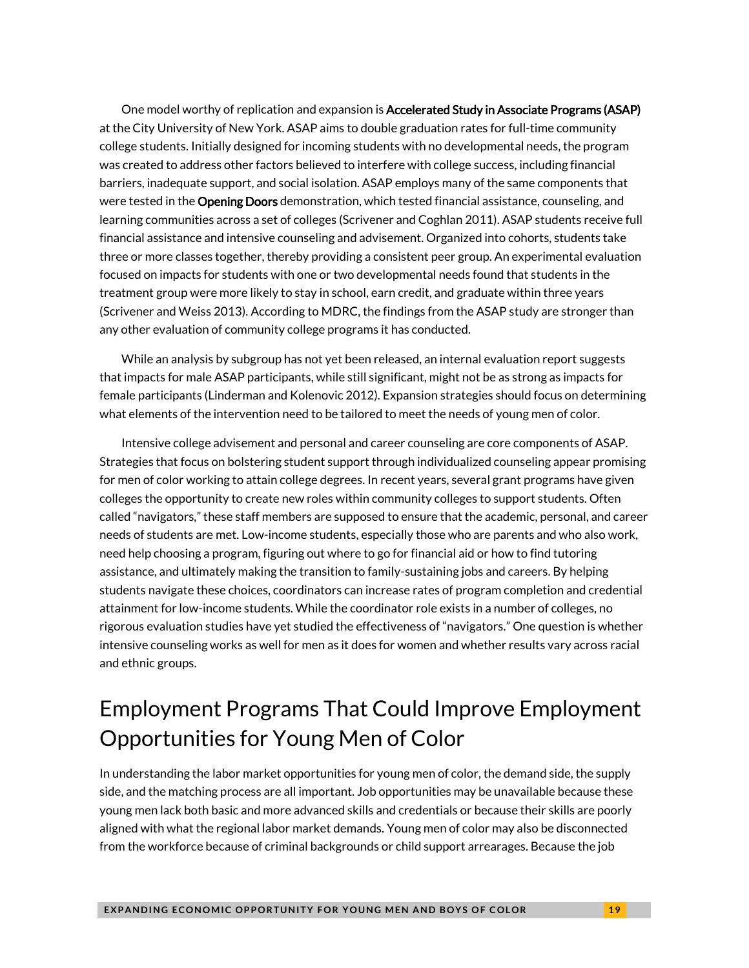One model worthy of replication and expansion is Accelerated Study in Associate Programs (ASAP) at the City University of New York. ASAP aims to double graduation rates for full-time community college students. Initially designed for incoming students with no developmental needs, the program was created to address other factors believed to interfere with college success, including financial barriers, inadequate support, and social isolation. ASAP employs many of the same components that were tested in the Opening Doors demonstration, which tested financial assistance, counseling, and learning communities across a set of colleges (Scrivener and Coghlan 2011). ASAP students receive full financial assistance and intensive counseling and advisement. Organized into cohorts, students take three or more classes together, thereby providing a consistent peer group. An experimental evaluation focused on impacts for students with one or two developmental needs found that students in the treatment group were more likely to stay in school, earn credit, and graduate within three years (Scrivener and Weiss 2013). According to MDRC, the findings from the ASAP study are stronger than any other evaluation of community college programs it has conducted.

While an analysis by subgroup has not yet been released, an internal evaluation report suggests that impacts for male ASAP participants, while still significant, might not be as strong as impacts for female participants (Linderman and Kolenovic 2012). Expansion strategies should focus on determining what elements of the intervention need to be tailored to meet the needs of young men of color.

Intensive college advisement and personal and career counseling are core components of ASAP. Strategies that focus on bolstering student support through individualized counseling appear promising for men of color working to attain college degrees. In recent years, several grant programs have given colleges the opportunity to create new roles within community colleges to support students. Often called "navigators," these staff members are supposed to ensure that the academic, personal, and career needs of students are met. Low-income students, especially those who are parents and who also work, need help choosing a program, figuring out where to go for financial aid or how to find tutoring assistance, and ultimately making the transition to family-sustaining jobs and careers. By helping students navigate these choices, coordinators can increase rates of program completion and credential attainment for low-income students. While the coordinator role exists in a number of colleges, no rigorous evaluation studies have yet studied the effectiveness of "navigators." One question is whether intensive counseling works as well for men as it does for women and whether results vary across racial and ethnic groups.

# Employment Programs That Could Improve Employment Opportunities for Young Men of Color

In understanding the labor market opportunities for young men of color, the demand side, the supply side, and the matching process are all important. Job opportunities may be unavailable because these young men lack both basic and more advanced skills and credentials or because their skills are poorly aligned with what the regional labor market demands. Young men of color may also be disconnected from the workforce because of criminal backgrounds or child support arrearages. Because the job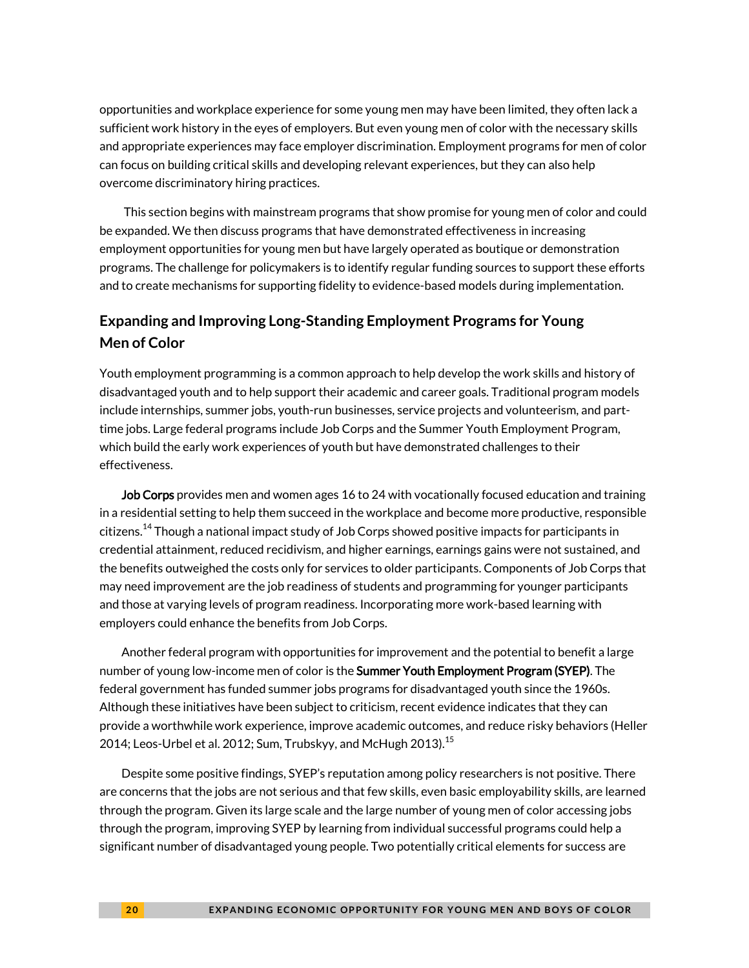opportunities and workplace experience for some young men may have been limited, they often lack a sufficient work history in the eyes of employers. But even young men of color with the necessary skills and appropriate experiences may face employer discrimination. Employment programs for men of color can focus on building critical skills and developing relevant experiences, but they can also help overcome discriminatory hiring practices.

This section begins with mainstream programs that show promise for young men of color and could be expanded. We then discuss programs that have demonstrated effectiveness in increasing employment opportunities for young men but have largely operated as boutique or demonstration programs. The challenge for policymakers is to identify regular funding sources to support these efforts and to create mechanisms for supporting fidelity to evidence-based models during implementation.

### **Expanding and Improving Long-Standing Employment Programs for Young Men of Color**

Youth employment programming is a common approach to help develop the work skills and history of disadvantaged youth and to help support their academic and career goals. Traditional program models include internships, summer jobs, youth-run businesses, service projects and volunteerism, and parttime jobs. Large federal programs include Job Corps and the Summer Youth Employment Program, which build the early work experiences of youth but have demonstrated challenges to their effectiveness.

Job Corps provides men and women ages 16 to 24 with vocationally focused education and training in a residential setting to help them succeed in the workplace and become more productive, responsible citizens.<sup>[14](#page-30-13)</sup> Though a national impact study of Job Corps showed positive impacts for participants in credential attainment, reduced recidivism, and higher earnings, earnings gains were not sustained, and the benefits outweighed the costs only for services to older participants. Components of Job Corps that may need improvement are the job readiness of students and programming for younger participants and those at varying levels of program readiness. Incorporating more work-based learning with employers could enhance the benefits from Job Corps.

Another federal program with opportunities for improvement and the potential to benefit a large number of young low-income men of color is the **Summer Youth Employment Program (SYEP)**. The federal government has funded summer jobs programs for disadvantaged youth since the 1960s. Although these initiatives have been subject to criticism, recent evidence indicates that they can provide a worthwhile work experience, improve academic outcomes, and reduce risky behaviors (Heller 2014; Leos-Urbel et al. 2012; Sum, Trubskyy, and McHugh 2013).  $^{15}$  $^{15}$  $^{15}$ 

Despite some positive findings, SYEP's reputation among policy researchers is not positive. There are concerns that the jobs are not serious and that few skills, even basic employability skills, are learned through the program. Given its large scale and the large number of young men of color accessing jobs through the program, improving SYEP by learning from individual successful programs could help a significant number of disadvantaged young people. Two potentially critical elements for success are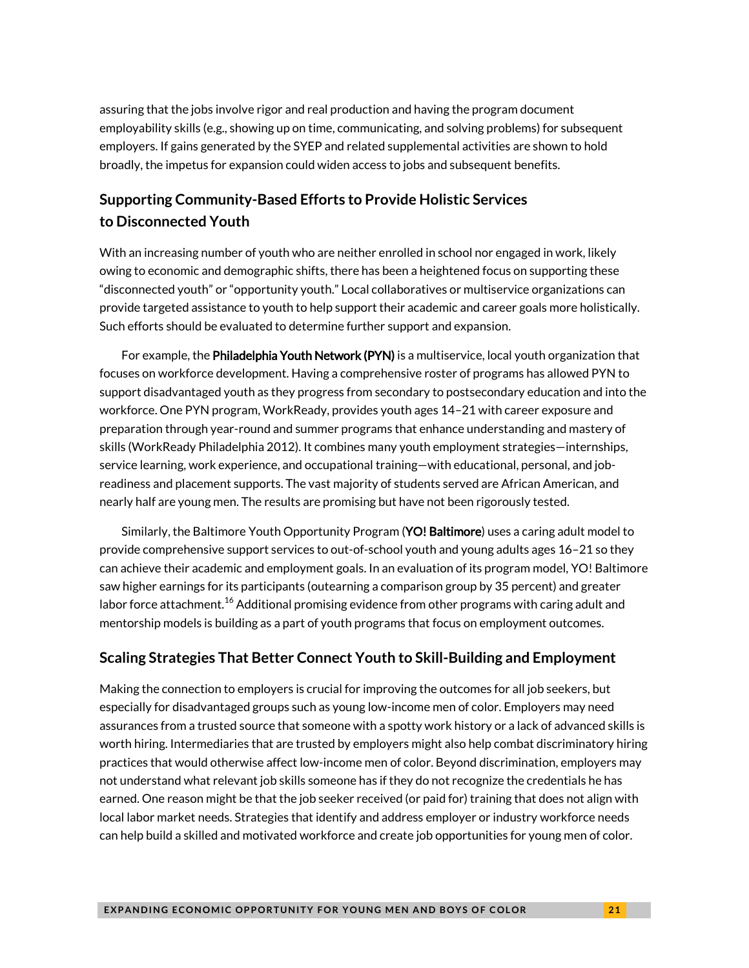assuring that the jobs involve rigor and real production and having the program document employability skills (e.g., showing up on time, communicating, and solving problems) for subsequent employers. If gains generated by the SYEP and related supplemental activities are shown to hold broadly, the impetus for expansion could widen access to jobs and subsequent benefits.

### **Supporting Community-Based Efforts to Provide Holistic Services to Disconnected Youth**

With an increasing number of youth who are neither enrolled in school nor engaged in work, likely owing to economic and demographic shifts, there has been a heightened focus on supporting these "disconnected youth" or "opportunity youth." Local collaboratives or multiservice organizations can provide targeted assistance to youth to help support their academic and career goals more holistically. Such efforts should be evaluated to determine further support and expansion.

For example, the Philadelphia Youth Network (PYN) is a multiservice, local youth organization that focuses on workforce development. Having a comprehensive roster of programs has allowed PYN to support disadvantaged youth as they progress from secondary to postsecondary education and into the workforce. One PYN program, WorkReady, provides youth ages 14–21 with career exposure and preparation through year-round and summer programs that enhance understanding and mastery of skills (WorkReady Philadelphia 2012). It combines many youth employment strategies—internships, service learning, work experience, and occupational training—with educational, personal, and jobreadiness and placement supports. The vast majority of students served are African American, and nearly half are young men. The results are promising but have not been rigorously tested.

Similarly, the Baltimore Youth Opportunity Program (YO! Baltimore) uses a caring adult model to provide comprehensive support services to out-of-school youth and young adults ages 16–21 so they can achieve their academic and employment goals. In an evaluation of its program model, YO! Baltimore saw higher earnings for its participants (outearning a comparison group by 35 percent) and greater labor force attachment. $^{16}$  $^{16}$  $^{16}$  Additional promising evidence from other programs with caring adult and mentorship models is building as a part of youth programs that focus on employment outcomes.

### **Scaling Strategies That Better Connect Youth to Skill-Building and Employment**

Making the connection to employers is crucial for improving the outcomes for all job seekers, but especially for disadvantaged groups such as young low-income men of color. Employers may need assurances from a trusted source that someone with a spotty work history or a lack of advanced skills is worth hiring. Intermediaries that are trusted by employers might also help combat discriminatory hiring practices that would otherwise affect low-income men of color. Beyond discrimination, employers may not understand what relevant job skills someone has if they do not recognize the credentials he has earned. One reason might be that the job seeker received (or paid for) training that does not align with local labor market needs. Strategies that identify and address employer or industry workforce needs can help build a skilled and motivated workforce and create job opportunities for young men of color.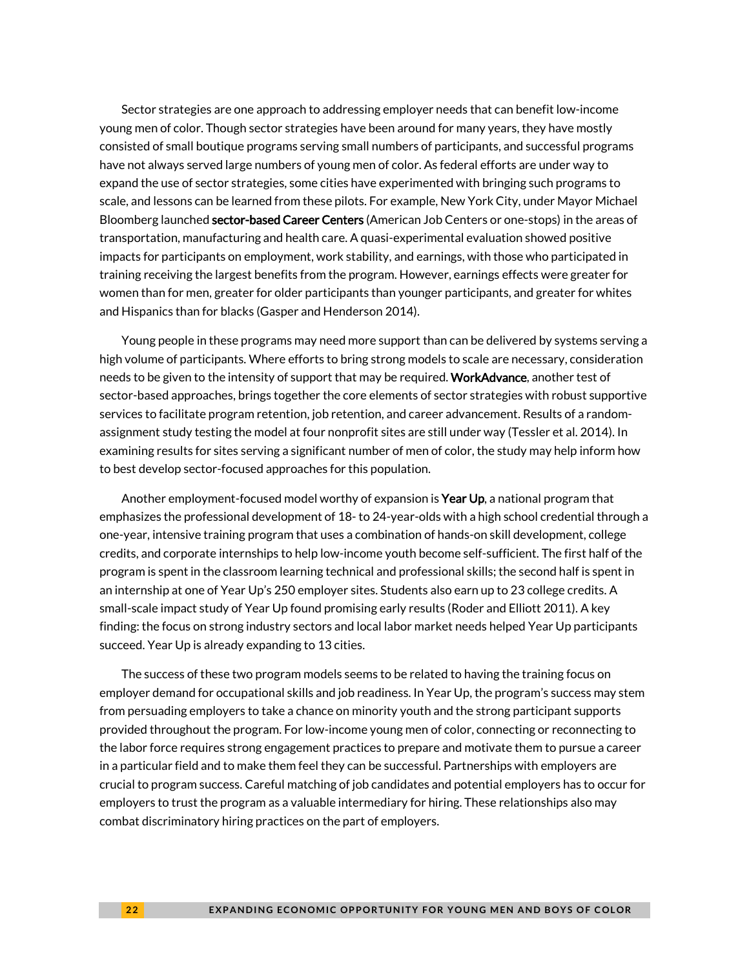Sector strategies are one approach to addressing employer needs that can benefit low-income young men of color. Though sector strategies have been around for many years, they have mostly consisted of small boutique programs serving small numbers of participants, and successful programs have not always served large numbers of young men of color. As federal efforts are under way to expand the use of sector strategies, some cities have experimented with bringing such programs to scale, and lessons can be learned from these pilots. For example, New York City, under Mayor Michael Bloomberg launched **sector-based Career Centers** (American Job Centers or one-stops) in the areas of transportation, manufacturing and health care. A quasi-experimental evaluation showed positive impacts for participants on employment, work stability, and earnings, with those who participated in training receiving the largest benefits from the program. However, earnings effects were greater for women than for men, greater for older participants than younger participants, and greater for whites and Hispanics than for blacks (Gasper and Henderson 2014).

Young people in these programs may need more support than can be delivered by systems serving a high volume of participants. Where efforts to bring strong models to scale are necessary, consideration needs to be given to the intensity of support that may be required. WorkAdvance, another test of sector-based approaches, brings together the core elements of sector strategies with robust supportive services to facilitate program retention, job retention, and career advancement. Results of a randomassignment study testing the model at four nonprofit sites are still under way (Tessler et al. 2014). In examining results for sites serving a significant number of men of color, the study may help inform how to best develop sector-focused approaches for this population.

Another employment-focused model worthy of expansion is **Year Up**, a national program that emphasizes the professional development of 18- to 24-year-olds with a high school credential through a one-year, intensive training program that uses a combination of hands-on skill development, college credits, and corporate internships to help low-income youth become self-sufficient. The first half of the program is spent in the classroom learning technical and professional skills; the second half is spent in an internship at one of Year Up's 250 employer sites. Students also earn up to 23 college credits. A small-scale impact study of Year Up found promising early results (Roder and Elliott 2011). A key finding: the focus on strong industry sectors and local labor market needs helped Year Up participants succeed. Year Up is already expanding to 13 cities.

The success of these two program models seems to be related to having the training focus on employer demand for occupational skills and job readiness. In Year Up, the program's success may stem from persuading employers to take a chance on minority youth and the strong participant supports provided throughout the program. For low-income young men of color, connecting or reconnecting to the labor force requires strong engagement practices to prepare and motivate them to pursue a career in a particular field and to make them feel they can be successful. Partnerships with employers are crucial to program success. Careful matching of job candidates and potential employers has to occur for employers to trust the program as a valuable intermediary for hiring. These relationships also may combat discriminatory hiring practices on the part of employers.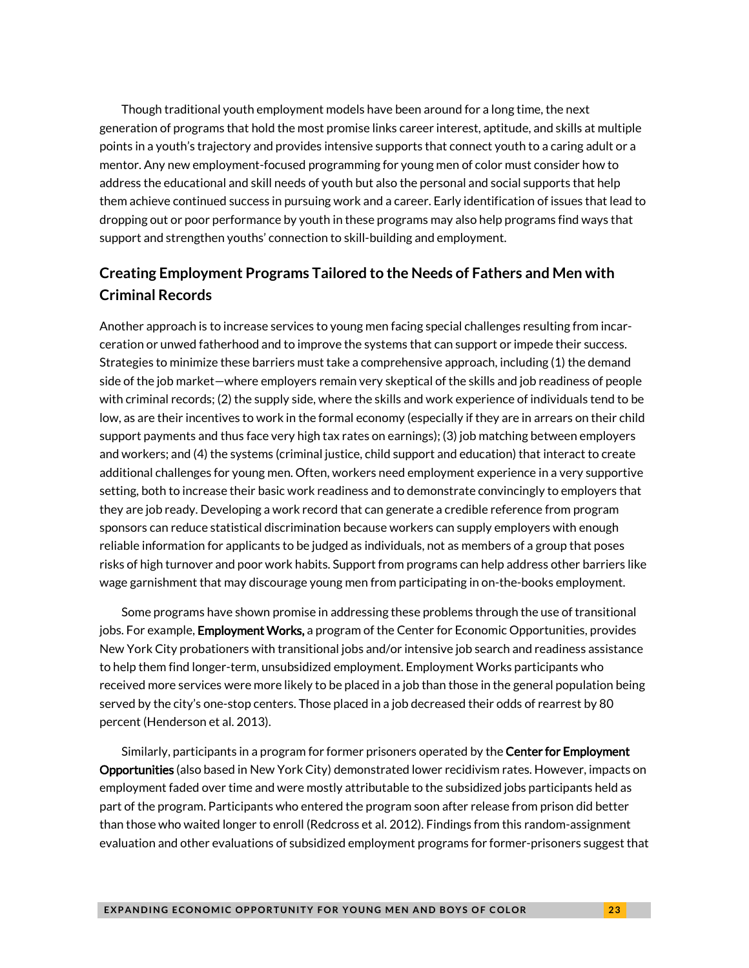Though traditional youth employment models have been around for a long time, the next generation of programs that hold the most promise links career interest, aptitude, and skills at multiple points in a youth's trajectory and provides intensive supports that connect youth to a caring adult or a mentor. Any new employment-focused programming for young men of color must consider how to address the educational and skill needs of youth but also the personal and social supports that help them achieve continued success in pursuing work and a career. Early identification of issues that lead to dropping out or poor performance by youth in these programs may also help programs find ways that support and strengthen youths' connection to skill-building and employment.

### **Creating Employment Programs Tailored to the Needs of Fathers and Men with Criminal Records**

Another approach is to increase services to young men facing special challenges resulting from incarceration or unwed fatherhood and to improve the systems that can support or impede their success. Strategies to minimize these barriers must take a comprehensive approach, including (1) the demand side of the job market—where employers remain very skeptical of the skills and job readiness of people with criminal records; (2) the supply side, where the skills and work experience of individuals tend to be low, as are their incentives to work in the formal economy (especially if they are in arrears on their child support payments and thus face very high tax rates on earnings); (3) job matching between employers and workers; and (4) the systems (criminal justice, child support and education) that interact to create additional challenges for young men. Often, workers need employment experience in a very supportive setting, both to increase their basic work readiness and to demonstrate convincingly to employers that they are job ready. Developing a work record that can generate a credible reference from program sponsors can reduce statistical discrimination because workers can supply employers with enough reliable information for applicants to be judged as individuals, not as members of a group that poses risks of high turnover and poor work habits. Support from programs can help address other barriers like wage garnishment that may discourage young men from participating in on-the-books employment.

Some programs have shown promise in addressing these problems through the use of transitional jobs. For example, **Employment Works,** a program of the Center for Economic Opportunities, provides New York City probationers with transitional jobs and/or intensive job search and readiness assistance to help them find longer-term, unsubsidized employment. Employment Works participants who received more services were more likely to be placed in a job than those in the general population being served by the city's one-stop centers. Those placed in a job decreased their odds of rearrest by 80 percent (Henderson et al. 2013).

Similarly, participants in a program for former prisoners operated by the **Center for Employment** Opportunities (also based in New York City) demonstrated lower recidivism rates. However, impacts on employment faded over time and were mostly attributable to the subsidized jobs participants held as part of the program. Participants who entered the program soon after release from prison did better than those who waited longer to enroll (Redcross et al. 2012). Findings from this random-assignment evaluation and other evaluations of subsidized employment programs for former-prisoners suggest that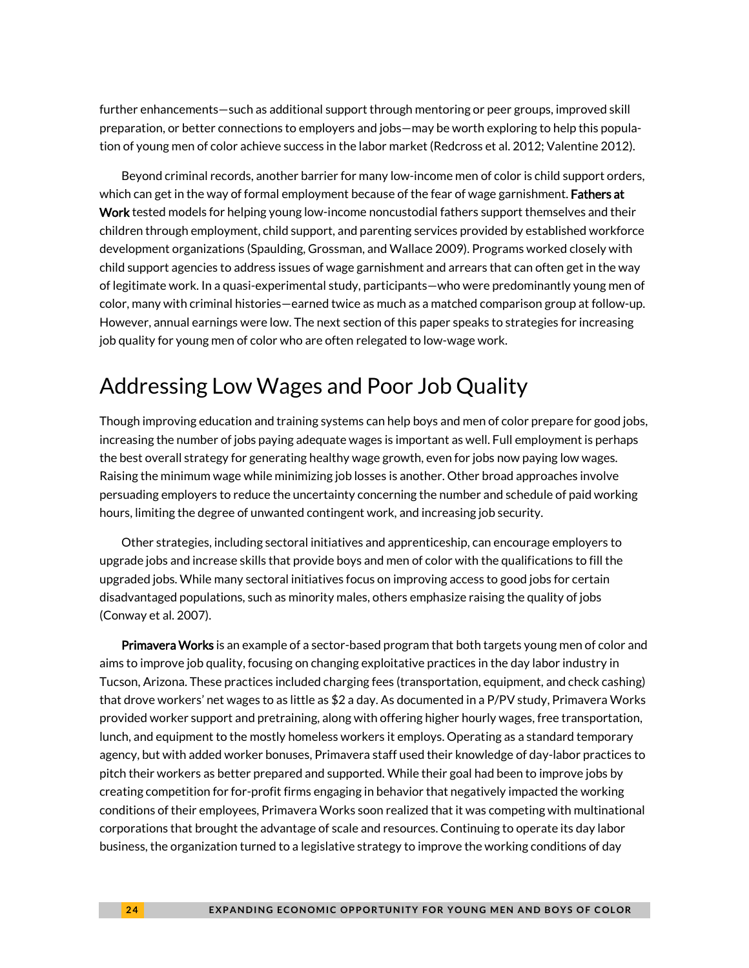further enhancements—such as additional support through mentoring or peer groups, improved skill preparation, or better connections to employers and jobs—may be worth exploring to help this population of young men of color achieve success in the labor market (Redcross et al. 2012; Valentine 2012).

Beyond criminal records, another barrier for many low-income men of color is child support orders, which can get in the way of formal employment because of the fear of wage garnishment. Fathers at Work tested models for helping young low-income noncustodial fathers support themselves and their children through employment, child support, and parenting services provided by established workforce development organizations (Spaulding, Grossman, and Wallace 2009). Programs worked closely with child support agencies to address issues of wage garnishment and arrears that can often get in the way of legitimate work. In a quasi-experimental study, participants—who were predominantly young men of color, many with criminal histories—earned twice as much as a matched comparison group at follow-up. However, annual earnings were low. The next section of this paper speaks to strategies for increasing job quality for young men of color who are often relegated to low-wage work.

### Addressing Low Wages and Poor Job Quality

Though improving education and training systems can help boys and men of color prepare for good jobs, increasing the number of jobs paying adequate wages is important as well. Full employment is perhaps the best overall strategy for generating healthy wage growth, even for jobs now paying low wages. Raising the minimum wage while minimizing job losses is another. Other broad approaches involve persuading employers to reduce the uncertainty concerning the number and schedule of paid working hours, limiting the degree of unwanted contingent work, and increasing job security.

Other strategies, including sectoral initiatives and apprenticeship, can encourage employers to upgrade jobs and increase skills that provide boys and men of color with the qualifications to fill the upgraded jobs. While many sectoral initiatives focus on improving access to good jobs for certain disadvantaged populations, such as minority males, others emphasize raising the quality of jobs (Conway et al. 2007).

Primavera Works is an example of a sector-based program that both targets young men of color and aims to improve job quality, focusing on changing exploitative practices in the day labor industry in Tucson, Arizona. These practices included charging fees (transportation, equipment, and check cashing) that drove workers' net wages to as little as \$2 a day. As documented in a P/PV study, Primavera Works provided worker support and pretraining, along with offering higher hourly wages, free transportation, lunch, and equipment to the mostly homeless workers it employs. Operating as a standard temporary agency, but with added worker bonuses, Primavera staff used their knowledge of day-labor practices to pitch their workers as better prepared and supported. While their goal had been to improve jobs by creating competition for for-profit firms engaging in behavior that negatively impacted the working conditions of their employees, Primavera Works soon realized that it was competing with multinational corporations that brought the advantage of scale and resources. Continuing to operate its day labor business, the organization turned to a legislative strategy to improve the working conditions of day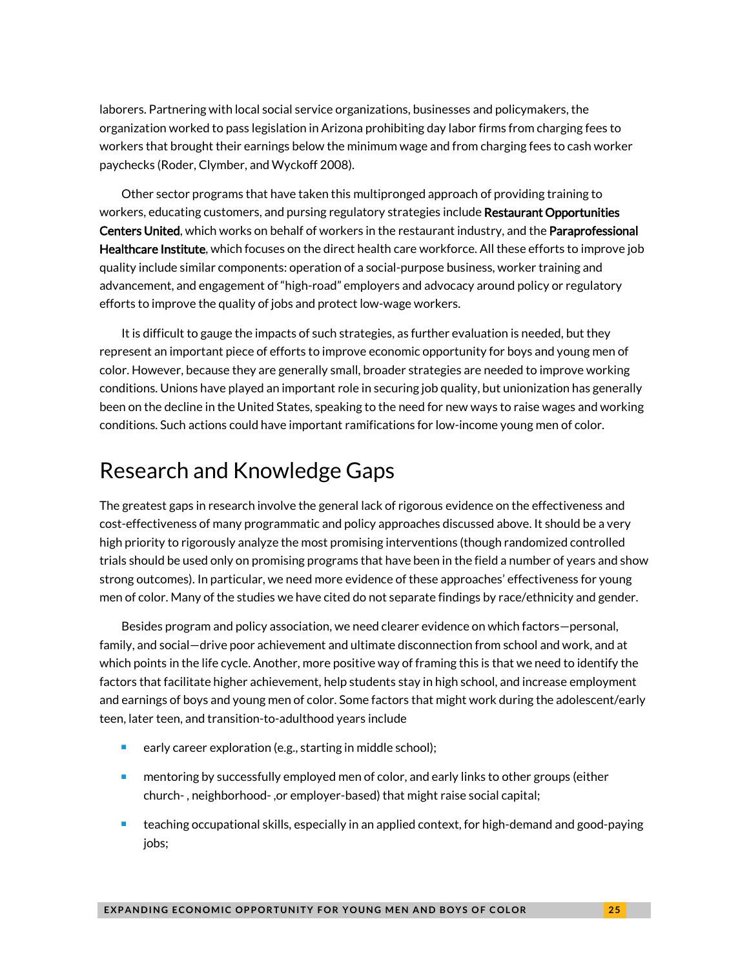laborers. Partnering with local social service organizations, businesses and policymakers, the organization worked to pass legislation in Arizona prohibiting day labor firms from charging fees to workers that brought their earnings below the minimum wage and from charging fees to cash worker paychecks (Roder, Clymber, and Wyckoff 2008).

Other sector programs that have taken this multipronged approach of providing training to workers, educating customers, and pursing regulatory strategies include **Restaurant Opportunities** Centers United, which works on behalf of workers in the restaurant industry, and the Paraprofessional Healthcare Institute, which focuses on the direct health care workforce. All these efforts to improve job quality include similar components: operation of a social-purpose business, worker training and advancement, and engagement of "high-road" employers and advocacy around policy or regulatory efforts to improve the quality of jobs and protect low-wage workers.

It is difficult to gauge the impacts of such strategies, as further evaluation is needed, but they represent an important piece of efforts to improve economic opportunity for boys and young men of color. However, because they are generally small, broader strategies are needed to improve working conditions. Unions have played an important role in securing job quality, but unionization has generally been on the decline in the United States, speaking to the need for new ways to raise wages and working conditions. Such actions could have important ramifications for low-income young men of color.

### Research and Knowledge Gaps

The greatest gaps in research involve the general lack of rigorous evidence on the effectiveness and cost-effectiveness of many programmatic and policy approaches discussed above. It should be a very high priority to rigorously analyze the most promising interventions (though randomized controlled trials should be used only on promising programs that have been in the field a number of years and show strong outcomes). In particular, we need more evidence of these approaches' effectiveness for young men of color. Many of the studies we have cited do not separate findings by race/ethnicity and gender.

Besides program and policy association, we need clearer evidence on which factors—personal, family, and social—drive poor achievement and ultimate disconnection from school and work, and at which points in the life cycle. Another, more positive way of framing this is that we need to identify the factors that facilitate higher achievement, help students stay in high school, and increase employment and earnings of boys and young men of color. Some factors that might work during the adolescent/early teen, later teen, and transition-to-adulthood years include

- early career exploration (e.g., starting in middle school);
- mentoring by successfully employed men of color, and early links to other groups (either church- , neighborhood- ,or employer-based) that might raise social capital;
- teaching occupational skills, especially in an applied context, for high-demand and good-paying jobs;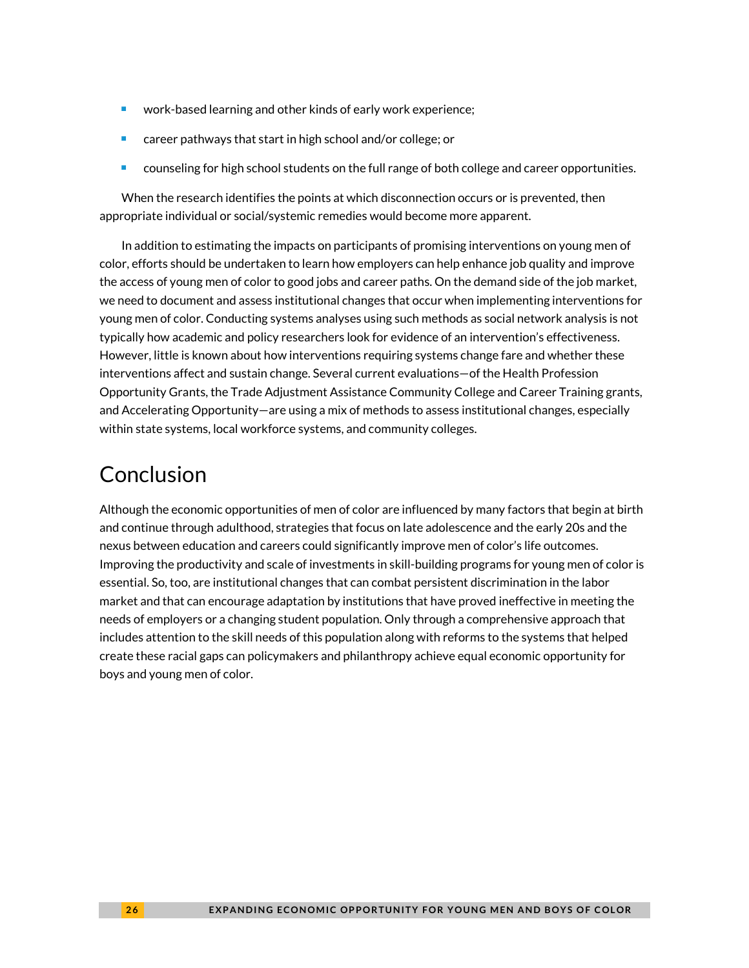- work-based learning and other kinds of early work experience;
- career pathways that start in high school and/or college; or
- **E** counseling for high school students on the full range of both college and career opportunities.

When the research identifies the points at which disconnection occurs or is prevented, then appropriate individual or social/systemic remedies would become more apparent.

In addition to estimating the impacts on participants of promising interventions on young men of color, efforts should be undertaken to learn how employers can help enhance job quality and improve the access of young men of color to good jobs and career paths. On the demand side of the job market, we need to document and assess institutional changes that occur when implementing interventions for young men of color. Conducting systems analyses using such methods as social network analysis is not typically how academic and policy researchers look for evidence of an intervention's effectiveness. However, little is known about how interventions requiring systems change fare and whether these interventions affect and sustain change. Several current evaluations—of the Health Profession Opportunity Grants, the Trade Adjustment Assistance Community College and Career Training grants, and Accelerating Opportunity—are using a mix of methods to assess institutional changes, especially within state systems, local workforce systems, and community colleges.

### Conclusion

Although the economic opportunities of men of color are influenced by many factors that begin at birth and continue through adulthood, strategies that focus on late adolescence and the early 20s and the nexus between education and careers could significantly improve men of color's life outcomes. Improving the productivity and scale of investments in skill-building programs for young men of color is essential. So, too, are institutional changes that can combat persistent discrimination in the labor market and that can encourage adaptation by institutions that have proved ineffective in meeting the needs of employers or a changing student population. Only through a comprehensive approach that includes attention to the skill needs of this population along with reforms to the systems that helped create these racial gaps can policymakers and philanthropy achieve equal economic opportunity for boys and young men of color.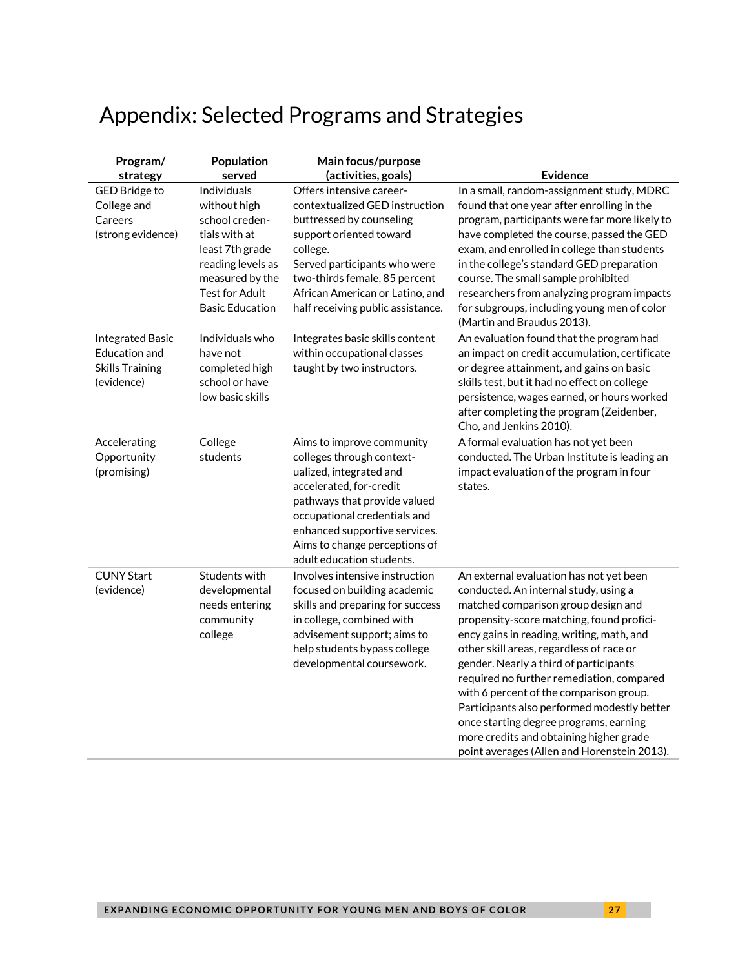# Appendix: Selected Programs and Strategies

| Program/<br>strategy                                                             | Population<br>served                                                                                                                                                         | Main focus/purpose<br>(activities, goals)                                                                                                                                                                                                                                   | <b>Evidence</b>                                                                                                                                                                                                                                                                                                                                                                                                                                                                                                                                                                    |
|----------------------------------------------------------------------------------|------------------------------------------------------------------------------------------------------------------------------------------------------------------------------|-----------------------------------------------------------------------------------------------------------------------------------------------------------------------------------------------------------------------------------------------------------------------------|------------------------------------------------------------------------------------------------------------------------------------------------------------------------------------------------------------------------------------------------------------------------------------------------------------------------------------------------------------------------------------------------------------------------------------------------------------------------------------------------------------------------------------------------------------------------------------|
| <b>GED Bridge to</b><br>College and<br>Careers<br>(strong evidence)              | Individuals<br>without high<br>school creden-<br>tials with at<br>least 7th grade<br>reading levels as<br>measured by the<br><b>Test for Adult</b><br><b>Basic Education</b> | Offers intensive career-<br>contextualized GED instruction<br>buttressed by counseling<br>support oriented toward<br>college.<br>Served participants who were<br>two-thirds female, 85 percent<br>African American or Latino, and<br>half receiving public assistance.      | In a small, random-assignment study, MDRC<br>found that one year after enrolling in the<br>program, participants were far more likely to<br>have completed the course, passed the GED<br>exam, and enrolled in college than students<br>in the college's standard GED preparation<br>course. The small sample prohibited<br>researchers from analyzing program impacts<br>for subgroups, including young men of color<br>(Martin and Braudus 2013).                                                                                                                                |
| <b>Integrated Basic</b><br>Education and<br><b>Skills Training</b><br>(evidence) | Individuals who<br>have not<br>completed high<br>school or have<br>low basic skills                                                                                          | Integrates basic skills content<br>within occupational classes<br>taught by two instructors.                                                                                                                                                                                | An evaluation found that the program had<br>an impact on credit accumulation, certificate<br>or degree attainment, and gains on basic<br>skills test, but it had no effect on college<br>persistence, wages earned, or hours worked<br>after completing the program (Zeidenber,<br>Cho, and Jenkins 2010).                                                                                                                                                                                                                                                                         |
| Accelerating<br>Opportunity<br>(promising)                                       | College<br>students                                                                                                                                                          | Aims to improve community<br>colleges through context-<br>ualized, integrated and<br>accelerated, for-credit<br>pathways that provide valued<br>occupational credentials and<br>enhanced supportive services.<br>Aims to change perceptions of<br>adult education students. | A formal evaluation has not yet been<br>conducted. The Urban Institute is leading an<br>impact evaluation of the program in four<br>states.                                                                                                                                                                                                                                                                                                                                                                                                                                        |
| <b>CUNY Start</b><br>(evidence)                                                  | Students with<br>developmental<br>needs entering<br>community<br>college                                                                                                     | Involves intensive instruction<br>focused on building academic<br>skills and preparing for success<br>in college, combined with<br>advisement support; aims to<br>help students bypass college<br>developmental coursework.                                                 | An external evaluation has not yet been<br>conducted. An internal study, using a<br>matched comparison group design and<br>propensity-score matching, found profici-<br>ency gains in reading, writing, math, and<br>other skill areas, regardless of race or<br>gender. Nearly a third of participants<br>required no further remediation, compared<br>with 6 percent of the comparison group.<br>Participants also performed modestly better<br>once starting degree programs, earning<br>more credits and obtaining higher grade<br>point averages (Allen and Horenstein 2013). |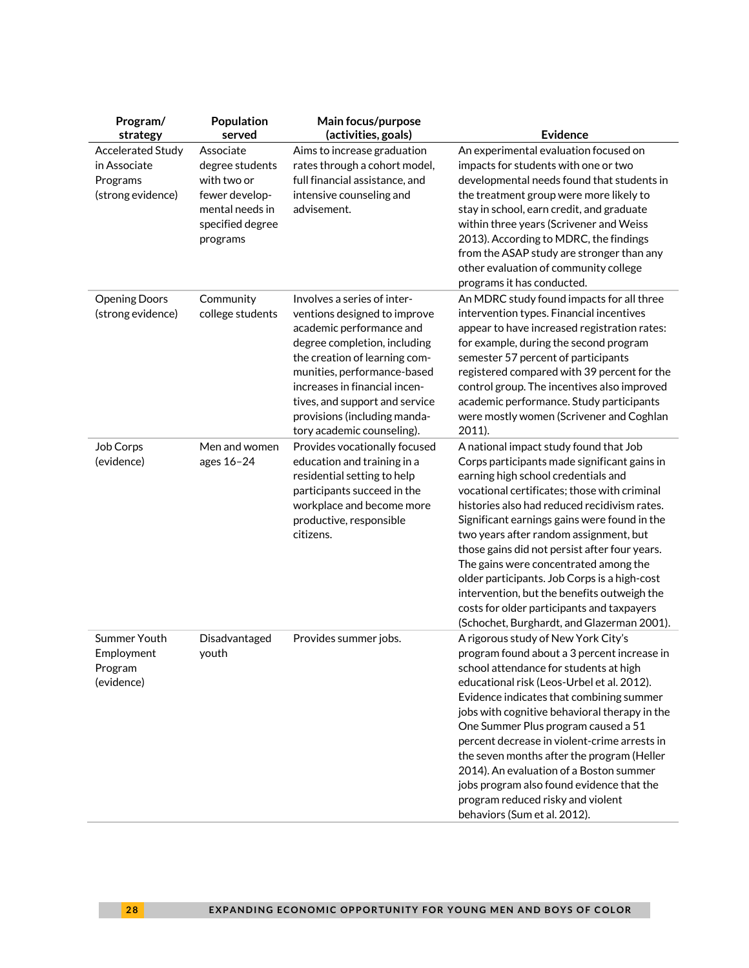| Program/<br>strategy                                               | Population<br>served                                                                                             | Main focus/purpose<br>(activities, goals)                                                                                                                                                                                                                                                                                | <b>Evidence</b>                                                                                                                                                                                                                                                                                                                                                                                                                                                                                                                                                                                              |
|--------------------------------------------------------------------|------------------------------------------------------------------------------------------------------------------|--------------------------------------------------------------------------------------------------------------------------------------------------------------------------------------------------------------------------------------------------------------------------------------------------------------------------|--------------------------------------------------------------------------------------------------------------------------------------------------------------------------------------------------------------------------------------------------------------------------------------------------------------------------------------------------------------------------------------------------------------------------------------------------------------------------------------------------------------------------------------------------------------------------------------------------------------|
| Accelerated Study<br>in Associate<br>Programs<br>(strong evidence) | Associate<br>degree students<br>with two or<br>fewer develop-<br>mental needs in<br>specified degree<br>programs | Aims to increase graduation<br>rates through a cohort model,<br>full financial assistance, and<br>intensive counseling and<br>advisement.                                                                                                                                                                                | An experimental evaluation focused on<br>impacts for students with one or two<br>developmental needs found that students in<br>the treatment group were more likely to<br>stay in school, earn credit, and graduate<br>within three years (Scrivener and Weiss<br>2013). According to MDRC, the findings<br>from the ASAP study are stronger than any<br>other evaluation of community college<br>programs it has conducted.                                                                                                                                                                                 |
| <b>Opening Doors</b><br>(strong evidence)                          | Community<br>college students                                                                                    | Involves a series of inter-<br>ventions designed to improve<br>academic performance and<br>degree completion, including<br>the creation of learning com-<br>munities, performance-based<br>increases in financial incen-<br>tives, and support and service<br>provisions (including manda-<br>tory academic counseling). | An MDRC study found impacts for all three<br>intervention types. Financial incentives<br>appear to have increased registration rates:<br>for example, during the second program<br>semester 57 percent of participants<br>registered compared with 39 percent for the<br>control group. The incentives also improved<br>academic performance. Study participants<br>were mostly women (Scrivener and Coghlan<br>2011).                                                                                                                                                                                       |
| Job Corps<br>(evidence)                                            | Men and women<br>ages 16-24                                                                                      | Provides vocationally focused<br>education and training in a<br>residential setting to help<br>participants succeed in the<br>workplace and become more<br>productive, responsible<br>citizens.                                                                                                                          | A national impact study found that Job<br>Corps participants made significant gains in<br>earning high school credentials and<br>vocational certificates; those with criminal<br>histories also had reduced recidivism rates.<br>Significant earnings gains were found in the<br>two years after random assignment, but<br>those gains did not persist after four years.<br>The gains were concentrated among the<br>older participants. Job Corps is a high-cost<br>intervention, but the benefits outweigh the<br>costs for older participants and taxpayers<br>(Schochet, Burghardt, and Glazerman 2001). |
| Summer Youth<br>Employment<br>Program<br>(evidence)                | Disadvantaged<br>youth                                                                                           | Provides summer jobs.                                                                                                                                                                                                                                                                                                    | A rigorous study of New York City's<br>program found about a 3 percent increase in<br>school attendance for students at high<br>educational risk (Leos-Urbel et al. 2012).<br>Evidence indicates that combining summer<br>jobs with cognitive behavioral therapy in the<br>One Summer Plus program caused a 51<br>percent decrease in violent-crime arrests in<br>the seven months after the program (Heller<br>2014). An evaluation of a Boston summer<br>jobs program also found evidence that the<br>program reduced risky and violent<br>behaviors (Sum et al. 2012).                                    |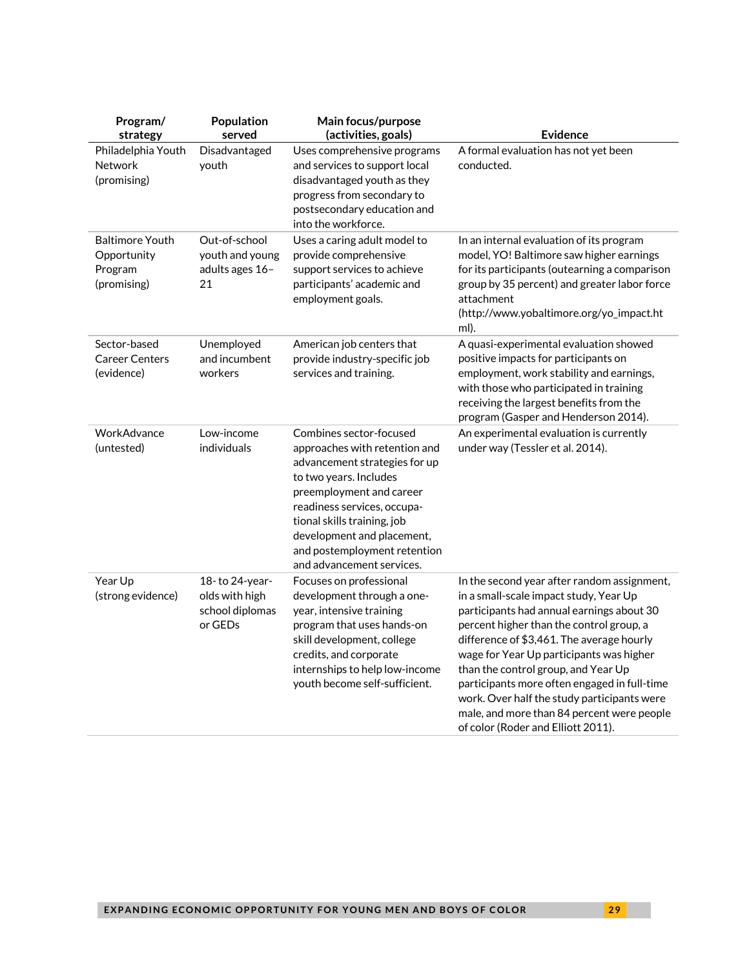| Program/<br>strategy                                            | Population<br>served                                           | Main focus/purpose<br>(activities, goals)                                                                                                                                                                                                                                                                | <b>Evidence</b>                                                                                                                                                                                                                                                                                                                                                                                                                                                                                   |
|-----------------------------------------------------------------|----------------------------------------------------------------|----------------------------------------------------------------------------------------------------------------------------------------------------------------------------------------------------------------------------------------------------------------------------------------------------------|---------------------------------------------------------------------------------------------------------------------------------------------------------------------------------------------------------------------------------------------------------------------------------------------------------------------------------------------------------------------------------------------------------------------------------------------------------------------------------------------------|
| Philadelphia Youth<br><b>Network</b><br>(promising)             | Disadvantaged<br>youth                                         | Uses comprehensive programs<br>and services to support local<br>disadvantaged youth as they<br>progress from secondary to<br>postsecondary education and<br>into the workforce.                                                                                                                          | A formal evaluation has not yet been<br>conducted.                                                                                                                                                                                                                                                                                                                                                                                                                                                |
| <b>Baltimore Youth</b><br>Opportunity<br>Program<br>(promising) | Out-of-school<br>youth and young<br>adults ages 16-<br>21      | Uses a caring adult model to<br>provide comprehensive<br>support services to achieve<br>participants' academic and<br>employment goals.                                                                                                                                                                  | In an internal evaluation of its program<br>model, YO! Baltimore saw higher earnings<br>for its participants (outearning a comparison<br>group by 35 percent) and greater labor force<br>attachment<br>(http://www.yobaltimore.org/yo_impact.ht<br>ml).                                                                                                                                                                                                                                           |
| Sector-based<br><b>Career Centers</b><br>(evidence)             | Unemployed<br>and incumbent<br>workers                         | American job centers that<br>provide industry-specific job<br>services and training.                                                                                                                                                                                                                     | A quasi-experimental evaluation showed<br>positive impacts for participants on<br>employment, work stability and earnings,<br>with those who participated in training<br>receiving the largest benefits from the<br>program (Gasper and Henderson 2014).                                                                                                                                                                                                                                          |
| WorkAdvance<br>(untested)                                       | Low-income<br>individuals                                      | Combines sector-focused<br>approaches with retention and<br>advancement strategies for up<br>to two years. Includes<br>preemployment and career<br>readiness services, occupa-<br>tional skills training, job<br>development and placement,<br>and postemployment retention<br>and advancement services. | An experimental evaluation is currently<br>under way (Tessler et al. 2014).                                                                                                                                                                                                                                                                                                                                                                                                                       |
| Year Up<br>(strong evidence)                                    | 18-to 24-year-<br>olds with high<br>school diplomas<br>or GEDs | Focuses on professional<br>development through a one-<br>year, intensive training<br>program that uses hands-on<br>skill development, college<br>credits, and corporate<br>internships to help low-income<br>youth become self-sufficient.                                                               | In the second year after random assignment,<br>in a small-scale impact study, Year Up<br>participants had annual earnings about 30<br>percent higher than the control group, a<br>difference of \$3,461. The average hourly<br>wage for Year Up participants was higher<br>than the control group, and Year Up<br>participants more often engaged in full-time<br>work. Over half the study participants were<br>male, and more than 84 percent were people<br>of color (Roder and Elliott 2011). |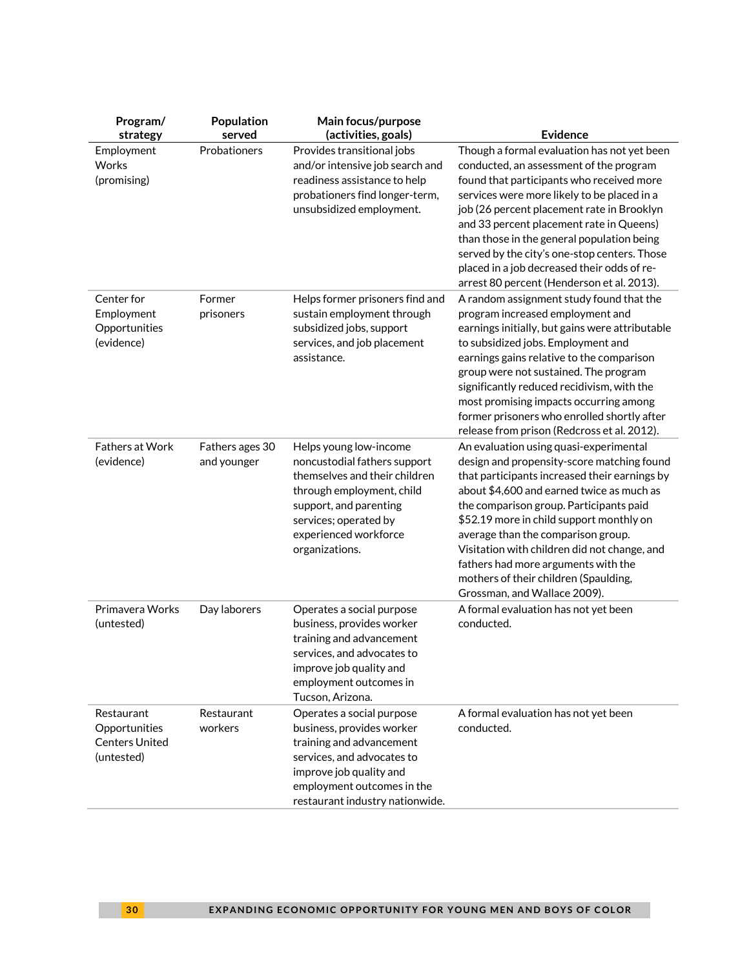| Program/<br>strategy                                               | Population<br>served           | Main focus/purpose<br>(activities, goals)                                                                                                                                                                          | <b>Evidence</b>                                                                                                                                                                                                                                                                                                                                                                                                                                                                 |
|--------------------------------------------------------------------|--------------------------------|--------------------------------------------------------------------------------------------------------------------------------------------------------------------------------------------------------------------|---------------------------------------------------------------------------------------------------------------------------------------------------------------------------------------------------------------------------------------------------------------------------------------------------------------------------------------------------------------------------------------------------------------------------------------------------------------------------------|
| Employment<br>Works<br>(promising)                                 | Probationers                   | Provides transitional jobs<br>and/or intensive job search and<br>readiness assistance to help<br>probationers find longer-term,<br>unsubsidized employment.                                                        | Though a formal evaluation has not yet been<br>conducted, an assessment of the program<br>found that participants who received more<br>services were more likely to be placed in a<br>job (26 percent placement rate in Brooklyn<br>and 33 percent placement rate in Queens)<br>than those in the general population being<br>served by the city's one-stop centers. Those<br>placed in a job decreased their odds of re-<br>arrest 80 percent (Henderson et al. 2013).         |
| Center for<br>Employment<br>Opportunities<br>(evidence)            | Former<br>prisoners            | Helps former prisoners find and<br>sustain employment through<br>subsidized jobs, support<br>services, and job placement<br>assistance.                                                                            | A random assignment study found that the<br>program increased employment and<br>earnings initially, but gains were attributable<br>to subsidized jobs. Employment and<br>earnings gains relative to the comparison<br>group were not sustained. The program<br>significantly reduced recidivism, with the<br>most promising impacts occurring among<br>former prisoners who enrolled shortly after<br>release from prison (Redcross et al. 2012).                               |
| <b>Fathers at Work</b><br>(evidence)                               | Fathers ages 30<br>and younger | Helps young low-income<br>noncustodial fathers support<br>themselves and their children<br>through employment, child<br>support, and parenting<br>services; operated by<br>experienced workforce<br>organizations. | An evaluation using quasi-experimental<br>design and propensity-score matching found<br>that participants increased their earnings by<br>about \$4,600 and earned twice as much as<br>the comparison group. Participants paid<br>\$52.19 more in child support monthly on<br>average than the comparison group.<br>Visitation with children did not change, and<br>fathers had more arguments with the<br>mothers of their children (Spaulding,<br>Grossman, and Wallace 2009). |
| Primavera Works<br>(untested)                                      | Day laborers                   | Operates a social purpose<br>business, provides worker<br>training and advancement<br>services, and advocates to<br>improve job quality and<br>employment outcomes in<br>Tucson, Arizona.                          | A formal evaluation has not yet been<br>conducted.                                                                                                                                                                                                                                                                                                                                                                                                                              |
| Restaurant<br>Opportunities<br><b>Centers United</b><br>(untested) | Restaurant<br>workers          | Operates a social purpose<br>business, provides worker<br>training and advancement<br>services, and advocates to<br>improve job quality and<br>employment outcomes in the<br>restaurant industry nationwide.       | A formal evaluation has not yet been<br>conducted.                                                                                                                                                                                                                                                                                                                                                                                                                              |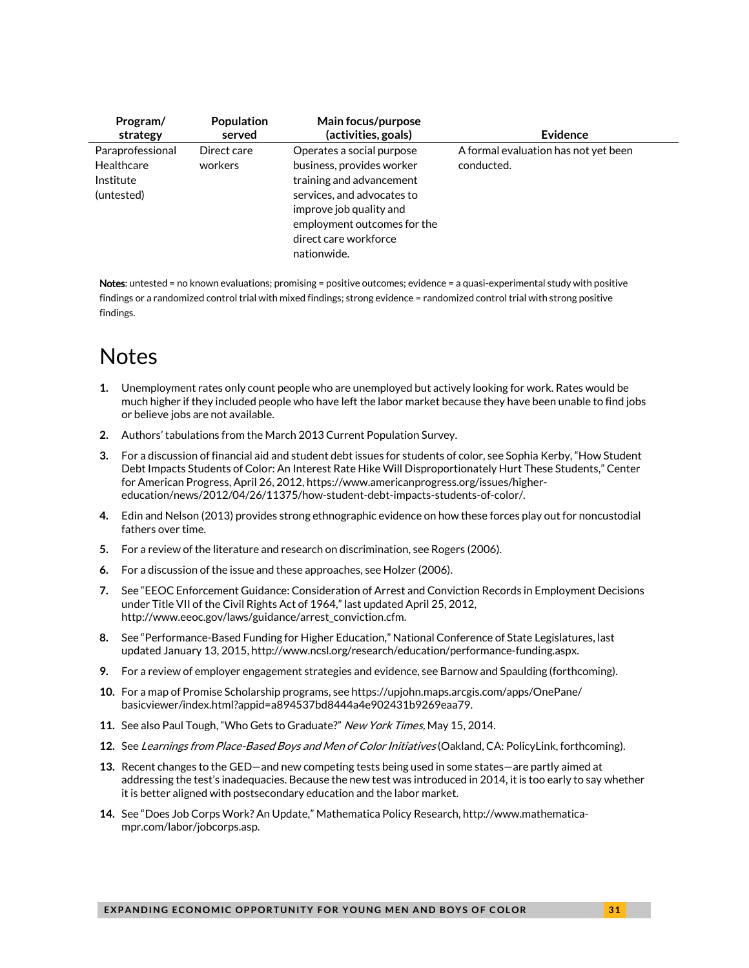| Program/                                                  | Population             | Main focus/purpose                                                                                                                                                                                                 | Evidence                                           |
|-----------------------------------------------------------|------------------------|--------------------------------------------------------------------------------------------------------------------------------------------------------------------------------------------------------------------|----------------------------------------------------|
| strategy                                                  | served                 | (activities, goals)                                                                                                                                                                                                |                                                    |
| Paraprofessional<br>Healthcare<br>Institute<br>(untested) | Direct care<br>workers | Operates a social purpose<br>business, provides worker<br>training and advancement<br>services, and advocates to<br>improve job quality and<br>employment outcomes for the<br>direct care workforce<br>nationwide. | A formal evaluation has not yet been<br>conducted. |

Notes: untested = no known evaluations; promising = positive outcomes; evidence = a quasi-experimental study with positive findings or a randomized control trial with mixed findings; strong evidence = randomized control trial with strong positive findings.

# **Notes**

- <span id="page-30-0"></span>**1.** Unemployment rates only count people who are unemployed but actively looking for work. Rates would be much higher if they included people who have left the labor market because they have been unable to find jobs or believe jobs are not available.
- <span id="page-30-1"></span>**2.** Authors' tabulations from the March 2013 Current Population Survey.
- <span id="page-30-2"></span>**3.** For a discussion of financial aid and student debt issues for students of color, see Sophia Kerby, "How Student Debt Impacts Students of Color: An Interest Rate Hike Will Disproportionately Hurt These Students," Center for American Progress, April 26, 2012[, https://www.americanprogress.org/issues/higher](https://www.americanprogress.org/issues/higher-education/news/2012/04/26/11375/how-student-debt-impacts-students-of-color/)[education/news/2012/04/26/11375/how-student-debt-impacts-students-of-color/.](https://www.americanprogress.org/issues/higher-education/news/2012/04/26/11375/how-student-debt-impacts-students-of-color/)
- <span id="page-30-3"></span>**4.** Edin and Nelson (2013) provides strong ethnographic evidence on how these forces play out for noncustodial fathers over time.
- <span id="page-30-4"></span>**5.** For a review of the literature and research on discrimination, see Rogers (2006).
- <span id="page-30-5"></span>**6.** For a discussion of the issue and these approaches, see Holzer (2006).
- <span id="page-30-6"></span>**7.** See "EEOC Enforcement Guidance: Consideration of Arrest and Conviction Records in Employment Decisions under Title VII of the Civil Rights Act of 1964," last updated April 25, 2012, http://www.eeoc.gov/laws/guidance/arrest\_conviction.cfm.
- <span id="page-30-7"></span>**8.** See "Performance-Based Funding for Higher Education," National Conference of State Legislatures, last updated January 13, 2015[, http://www.ncsl.org/research/education/performance-funding.aspx.](http://www.ncsl.org/research/education/performance-funding.aspx)
- <span id="page-30-8"></span>**9.** For a review of employer engagement strategies and evidence, see Barnow and Spaulding (forthcoming).
- <span id="page-30-9"></span>**10.** For a map of Promise Scholarship programs, see https://upjohn.maps.arcgis.com/apps/OnePane/ basicviewer/index.html?appid=a894537bd8444a4e902431b9269eaa79.
- <span id="page-30-10"></span>**11.** See also Paul Tough, "Who Gets to Graduate?" New York Times, May 15, 2014.
- <span id="page-30-11"></span>**12.** See Learnings from Place-Based Boys and Men of Color Initiatives (Oakland, CA: PolicyLink, forthcoming).
- <span id="page-30-12"></span>**13.** Recent changes to the GED—and new competing tests being used in some states—are partly aimed at addressing the test's inadequacies. Because the new test was introduced in 2014, it is too early to say whether it is better aligned with postsecondary education and the labor market.
- <span id="page-30-13"></span>**14.** See "Does Job Corps Work? An Update," Mathematica Policy Research, [http://www.mathematica](http://www.mathematica-mpr.com/labor/jobcorps.asp)[mpr.com/labor/jobcorps.asp.](http://www.mathematica-mpr.com/labor/jobcorps.asp)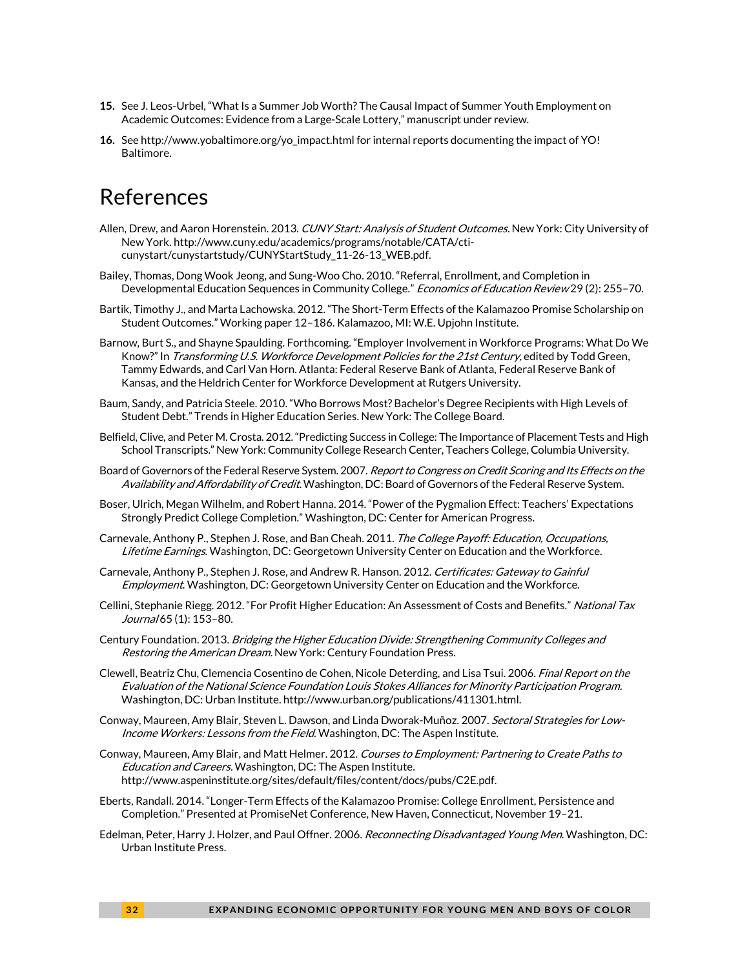- <span id="page-31-0"></span>**15.** See J. Leos-Urbel, "What Is a Summer Job Worth? The Causal Impact of Summer Youth Employment on Academic Outcomes: Evidence from a Large-Scale Lottery," manuscript under review.
- <span id="page-31-1"></span>**16.** Se[e http://www.yobaltimore.org/yo\\_impact.html](http://www.yobaltimore.org/yo_impact.html) for internal reports documenting the impact of YO! Baltimore.

# References

- Allen, Drew, and Aaron Horenstein. 2013. CUNY Start: Analysis of Student Outcomes. New York: City University of New York. http://www.cuny.edu/academics/programs/notable/CATA/cticunystart/cunystartstudy/CUNYStartStudy\_11-26-13\_WEB.pdf.
- Bailey, Thomas, Dong Wook Jeong, and Sung-Woo Cho. 2010. "Referral, Enrollment, and Completion in Developmental Education Sequences in Community College." Economics of Education Review 29 (2): 255-70.
- Bartik, Timothy J., and Marta Lachowska. 2012. "The Short-Term Effects of the Kalamazoo Promise Scholarship on Student Outcomes." Working paper 12–186. Kalamazoo, MI: W.E. Upjohn Institute.
- Barnow, Burt S., and Shayne Spaulding. Forthcoming. "Employer Involvement in Workforce Programs: What Do We Know?" In Transforming U.S. Workforce Development Policies for the 21st Century, edited by Todd Green, Tammy Edwards, and Carl Van Horn. Atlanta: Federal Reserve Bank of Atlanta, Federal Reserve Bank of Kansas, and the Heldrich Center for Workforce Development at Rutgers University.
- Baum, Sandy, and Patricia Steele. 2010. "Who Borrows Most? Bachelor's Degree Recipients with High Levels of Student Debt." Trends in Higher Education Series. New York: The College Board.
- Belfield, Clive, and Peter M. Crosta. 2012. "Predicting Success in College: The Importance of Placement Tests and High School Transcripts." New York: Community College Research Center, Teachers College, Columbia University.
- Board of Governors of the Federal Reserve System. 2007. Report to Congress on Credit Scoring and Its Effects on the Availability and Affordability of Credit. Washington, DC: Board of Governors of the Federal Reserve System.
- Boser, Ulrich, Megan Wilhelm, and Robert Hanna. 2014. "Power of the Pygmalion Effect: Teachers' Expectations Strongly Predict College Completion." Washington, DC: Center for American Progress.
- Carnevale, Anthony P., Stephen J. Rose, and Ban Cheah. 2011. The College Payoff: Education, Occupations, Lifetime Earnings. Washington, DC: Georgetown University Center on Education and the Workforce.
- Carnevale, Anthony P., Stephen J. Rose, and Andrew R. Hanson. 2012. Certificates: Gateway to Gainful Employment. Washington, DC: Georgetown University Center on Education and the Workforce.
- Cellini, Stephanie Riegg. 2012. "For Profit Higher Education: An Assessment of Costs and Benefits." National Tax Journal 65 (1): 153-80.
- Century Foundation. 2013. Bridging the Higher Education Divide: Strengthening Community Colleges and Restoring the American Dream. New York: Century Foundation Press.
- Clewell, Beatriz Chu, Clemencia Cosentino de Cohen, Nicole Deterding, and Lisa Tsui. 2006. *Final Report on the* Evaluation of the National Science Foundation Louis Stokes Alliances for Minority Participation Program. Washington, DC: Urban Institute. http://www.urban.org/publications/411301.html.
- Conway, Maureen, Amy Blair, Steven L. Dawson, and Linda Dworak-Muñoz. 2007. Sectoral Strategies for Low-Income Workers: Lessons from the Field. Washington, DC: The Aspen Institute.
- Conway, Maureen, Amy Blair, and Matt Helmer. 2012. Courses to Employment: Partnering to Create Paths to Education and Careers. Washington, DC: The Aspen Institute. http://www.aspeninstitute.org/sites/default/files/content/docs/pubs/C2E.pdf.
- Eberts, Randall. 2014. "Longer-Term Effects of the Kalamazoo Promise: College Enrollment, Persistence and Completion." Presented at PromiseNet Conference, New Haven, Connecticut, November 19–21.
- Edelman, Peter, Harry J. Holzer, and Paul Offner. 2006. *Reconnecting Disadvantaged Young Men*. Washington, DC: Urban Institute Press.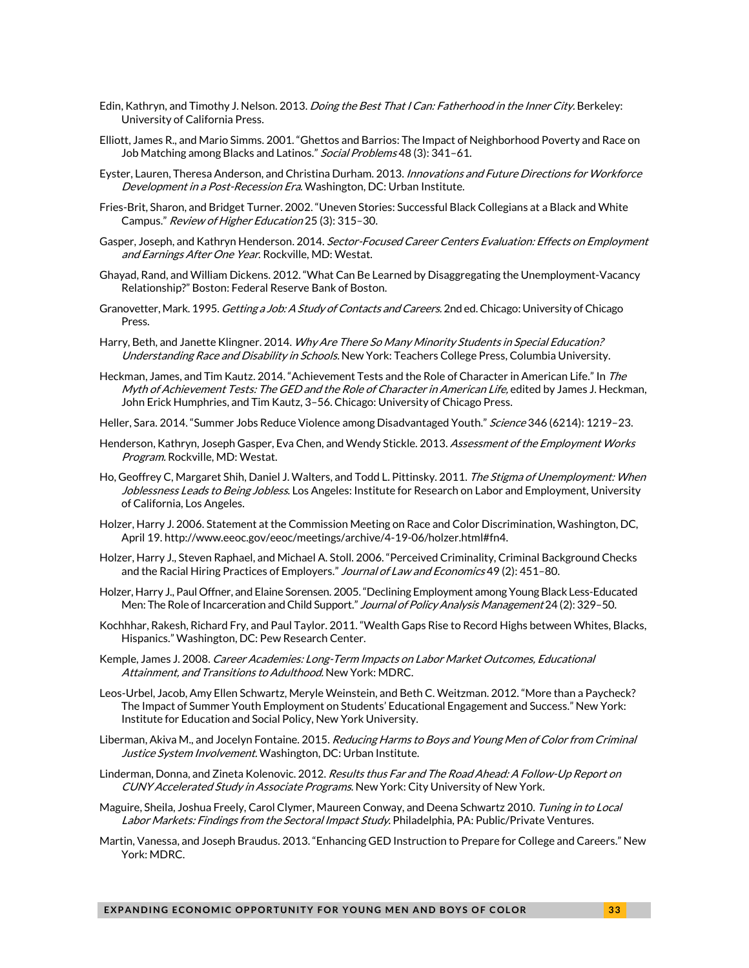- Edin, Kathryn, and Timothy J. Nelson. 2013. *Doing the Best That I Can: Fatherhood in the Inner City*. Berkeley: University of California Press.
- Elliott, James R., and Mario Simms. 2001. "Ghettos and Barrios: The Impact of Neighborhood Poverty and Race on Job Matching among Blacks and Latinos." Social Problems 48 (3): 341-61.
- Eyster, Lauren, Theresa Anderson, and Christina Durham. 2013. Innovations and Future Directions for Workforce Development in a Post-Recession Era. Washington, DC: Urban Institute.
- Fries-Brit, Sharon, and Bridget Turner. 2002. "Uneven Stories: Successful Black Collegians at a Black and White Campus." Review of Higher Education 25 (3): 315–30.
- Gasper, Joseph, and Kathryn Henderson. 2014. Sector-Focused Career Centers Evaluation: Effects on Employment and Earnings After One Year. Rockville, MD: Westat.
- Ghayad, Rand, and William Dickens. 2012. "What Can Be Learned by Disaggregating the Unemployment-Vacancy Relationship?" Boston: Federal Reserve Bank of Boston.
- Granovetter, Mark. 1995. *Getting a Job: A Study of Contacts and Careers.* 2nd ed. Chicago: University of Chicago Press.
- Harry, Beth, and Janette Klingner. 2014. Why Are There So Many Minority Students in Special Education? Understanding Race and Disability in Schools. New York: Teachers College Press, Columbia University.
- Heckman, James, and Tim Kautz. 2014. "Achievement Tests and the Role of Character in American Life." In *The* Myth of Achievement Tests: The GED and the Role of Character in American Life, edited by James J. Heckman, John Erick Humphries, and Tim Kautz, 3–56. Chicago: University of Chicago Press.
- Heller, Sara. 2014. "Summer Jobs Reduce Violence among Disadvantaged Youth." Science 346 (6214): 1219-23.
- Henderson, Kathryn, Joseph Gasper, Eva Chen, and Wendy Stickle. 2013. Assessment of the Employment Works Program. Rockville, MD: Westat.
- Ho, Geoffrey C, Margaret Shih, Daniel J. Walters, and Todd L. Pittinsky. 2011. The Stigma of Unemployment: When Joblessness Leads to Being Jobless. Los Angeles: Institute for Research on Labor and Employment, University of California, Los Angeles.
- Holzer, Harry J. 2006. Statement at the Commission Meeting on Race and Color Discrimination, Washington, DC, April 19. http://www.eeoc.gov/eeoc/meetings/archive/4-19-06/holzer.html#fn4.
- Holzer, Harry J., Steven Raphael, and Michael A. Stoll. 2006. "Perceived Criminality, Criminal Background Checks and the Racial Hiring Practices of Employers." Journal of Law and Economics 49 (2): 451-80.
- Holzer, Harry J., Paul Offner, and Elaine Sorensen. 2005."Declining Employment among Young Black Less-Educated Men: The Role of Incarceration and Child Support." Journal of Policy Analysis Management 24 (2): 329-50.
- Kochhhar, Rakesh, Richard Fry, and Paul Taylor. 2011. "Wealth Gaps Rise to Record Highs between Whites, Blacks, Hispanics." Washington, DC: Pew Research Center.
- Kemple, James J. 2008. Career Academies: Long-Term Impacts on Labor Market Outcomes, Educational Attainment, and Transitions to Adulthood. New York: MDRC.
- Leos-Urbel, Jacob, Amy Ellen Schwartz, Meryle Weinstein, and Beth C. Weitzman. 2012. "More than a Paycheck? The Impact of Summer Youth Employment on Students' Educational Engagement and Success." New York: Institute for Education and Social Policy, New York University.
- Liberman, Akiva M., and Jocelyn Fontaine. 2015. Reducing Harms to Boys and Young Men of Color from Criminal Justice System Involvement. Washington, DC: Urban Institute.
- Linderman, Donna, and Zineta Kolenovic. 2012. *Results thus Far and The Road Ahead: A Follow-Up Report on* CUNY Accelerated Study in Associate Programs. New York: City University of New York.
- Maguire, Sheila, Joshua Freely, Carol Clymer, Maureen Conway, and Deena Schwartz 2010. Tuning in to Local Labor Markets: Findings from the Sectoral Impact Study. Philadelphia, PA: Public/Private Ventures.
- Martin, Vanessa, and Joseph Braudus. 2013. "Enhancing GED Instruction to Prepare for College and Careers." New York: MDRC.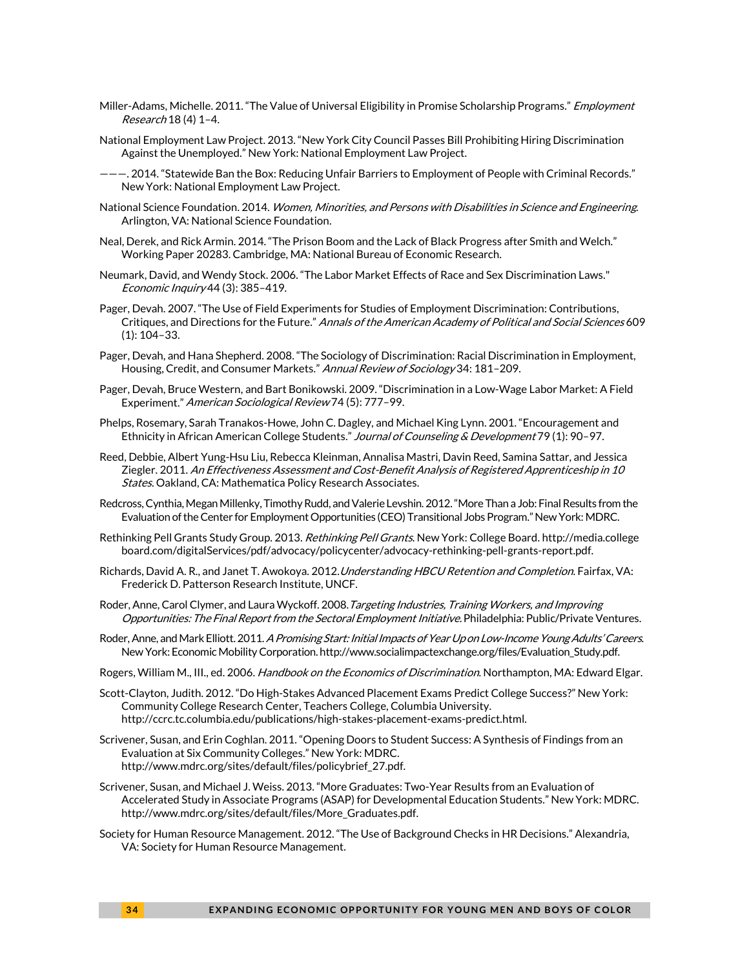- Miller-Adams, Michelle. 2011. "The Value of Universal Eligibility in Promise Scholarship Programs." Employment Research 18 (4) 1–4.
- National Employment Law Project. 2013. "New York City Council Passes Bill Prohibiting Hiring Discrimination Against the Unemployed." New York: National Employment Law Project.
- ———. 2014. "Statewide Ban the Box: Reducing Unfair Barriers to Employment of People with Criminal Records." New York: National Employment Law Project.
- National Science Foundation. 2014. *Women, Minorities, and Persons with Disabilities in Science and Engineering.* Arlington, VA: National Science Foundation.
- Neal, Derek, and Rick Armin. 2014. "The Prison Boom and the Lack of Black Progress after Smith and Welch." Working Paper 20283. Cambridge, MA: National Bureau of Economic Research.
- Neumark, David, and Wendy Stock. 2006. "The Labor Market Effects of Race and Sex Discrimination Laws." Economic Inquiry 44 (3): 385–419.
- Pager, Devah. 2007. "The Use of Field Experiments for Studies of Employment Discrimination: Contributions, Critiques, and Directions for the Future." Annals of the American Academy of Political and Social Sciences 609 (1): 104–33.
- Pager, Devah, and Hana Shepherd. 2008. "The Sociology of Discrimination: Racial Discrimination in Employment, Housing, Credit, and Consumer Markets." Annual Review of Sociology 34: 181-209.
- Pager, Devah, Bruce Western, and Bart Bonikowski. 2009. "Discrimination in a Low-Wage Labor Market: A Field Experiment." American Sociological Review 74 (5): 777–99.
- Phelps, Rosemary, Sarah Tranakos-Howe, John C. Dagley, and Michael King Lynn. 2001. "Encouragement and Ethnicity in African American College Students." Journal of Counseling & Development 79 (1): 90-97.
- Reed, Debbie, Albert Yung-Hsu Liu, Rebecca Kleinman, Annalisa Mastri, Davin Reed, Samina Sattar, and Jessica Ziegler. 2011. An Effectiveness Assessment and Cost-Benefit Analysis of Registered Apprenticeship in 10 States. Oakland, CA: Mathematica Policy Research Associates.
- Redcross, Cynthia, Megan Millenky, Timothy Rudd, and Valerie Levshin. 2012."More Than a Job: Final Results from the Evaluation of the Center for Employment Opportunities (CEO) Transitional Jobs Program." New York: MDRC.
- Rethinking Pell Grants Study Group. 2013. Rethinking Pell Grants. New York: College Board. http://media.college board.com/digitalServices/pdf/advocacy/policycenter/advocacy-rethinking-pell-grants-report.pdf.
- Richards, David A. R., and Janet T. Awokoya. 2012. Understanding HBCU Retention and Completion. Fairfax, VA: Frederick D. Patterson Research Institute, UNCF.
- Roder, Anne, Carol Clymer, and Laura Wyckoff. 2008. Targeting Industries, Training Workers, and Improving Opportunities: The Final Report from the Sectoral Employment Initiative. Philadelphia: Public/Private Ventures.
- Roder, Anne, and Mark Elliott. 2011. A Promising Start: Initial Impacts of Year Up on Low-Income Young Adults' Careers. New York: Economic Mobility Corporation. http://www.socialimpactexchange.org/files/Evaluation\_Study.pdf.
- Rogers, William M., III., ed. 2006. Handbook on the Economics of Discrimination. Northampton, MA: Edward Elgar.
- Scott-Clayton, Judith. 2012. "Do High-Stakes Advanced Placement Exams Predict College Success?" New York: Community College Research Center, Teachers College, Columbia University. http://ccrc.tc.columbia.edu/publications/high-stakes-placement-exams-predict.html.
- Scrivener, Susan, and Erin Coghlan. 2011. "Opening Doors to Student Success: A Synthesis of Findings from an Evaluation at Six Community Colleges." New York: MDRC. http://www.mdrc.org/sites/default/files/policybrief\_27.pdf.
- Scrivener, Susan, and Michael J. Weiss. 2013. "More Graduates: Two-Year Results from an Evaluation of Accelerated Study in Associate Programs (ASAP) for Developmental Education Students." New York: MDRC. http://www.mdrc.org/sites/default/files/More\_Graduates.pdf.
- Society for Human Resource Management. 2012. "The Use of Background Checks in HR Decisions." Alexandria, VA: Society for Human Resource Management.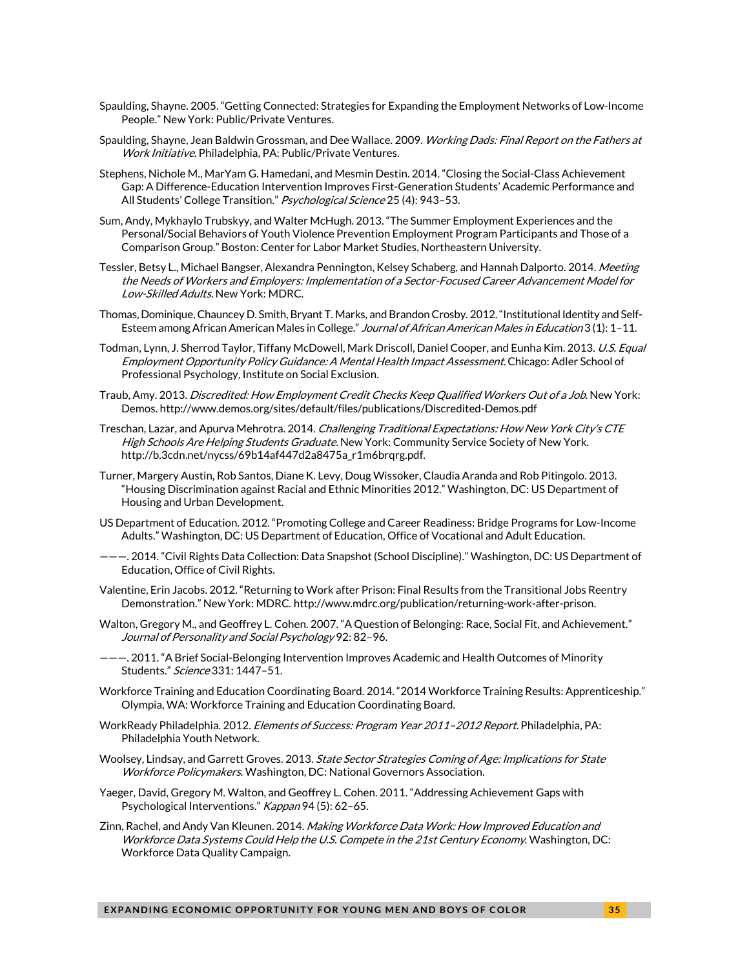- Spaulding, Shayne. 2005. "Getting Connected: Strategies for Expanding the Employment Networks of Low-Income People." New York: Public/Private Ventures.
- Spaulding, Shayne, Jean Baldwin Grossman, and Dee Wallace. 2009. Working Dads: Final Report on the Fathers at Work Initiative. Philadelphia, PA: Public/Private Ventures.
- Stephens, Nichole M., MarYam G. Hamedani, and Mesmin Destin. 2014. "Closing the Social-Class Achievement Gap: A Difference-Education Intervention Improves First-Generation Students' Academic Performance and All Students' College Transition." Psychological Science 25 (4): 943-53.
- Sum, Andy, Mykhaylo Trubskyy, and Walter McHugh. 2013. "The Summer Employment Experiences and the Personal/Social Behaviors of Youth Violence Prevention Employment Program Participants and Those of a Comparison Group." Boston: Center for Labor Market Studies, Northeastern University.
- Tessler, Betsy L., Michael Bangser, Alexandra Pennington, Kelsey Schaberg, and Hannah Dalporto. 2014. Meeting the Needs of Workers and Employers: Implementation of a Sector-Focused Career Advancement Model for Low-Skilled Adults. New York: MDRC.
- Thomas, Dominique, Chauncey D. Smith, Bryant T. Marks, and Brandon Crosby. 2012. "Institutional Identity and Self-Esteem among African American Males in College." Journal of African American Males in Education 3 (1): 1-11.
- Todman, Lynn, J. Sherrod Taylor, Tiffany McDowell, Mark Driscoll, Daniel Cooper, and Eunha Kim. 2013. U.S. Equal Employment Opportunity Policy Guidance: A Mental Health Impact Assessment. Chicago: Adler School of Professional Psychology, Institute on Social Exclusion.
- Traub, Amy. 2013. Discredited: How Employment Credit Checks Keep Qualified Workers Out of a Job. New York: Demos. http://www.demos.org/sites/default/files/publications/Discredited-Demos.pdf
- Treschan, Lazar, and Apurva Mehrotra. 2014. Challenging Traditional Expectations: How New York City's CTE High Schools Are Helping Students Graduate. New York: Community Service Society of New York. http://b.3cdn.net/nycss/69b14af447d2a8475a\_r1m6brqrg.pdf.
- Turner, Margery Austin, Rob Santos, Diane K. Levy, Doug Wissoker, Claudia Aranda and Rob Pitingolo. 2013. "Housing Discrimination against Racial and Ethnic Minorities 2012." Washington, DC: US Department of Housing and Urban Development.
- US Department of Education. 2012. "Promoting College and Career Readiness: Bridge Programs for Low-Income Adults." Washington, DC: US Department of Education, Office of Vocational and Adult Education.
- ———. 2014. "Civil Rights Data Collection: Data Snapshot (School Discipline)." Washington, DC: US Department of Education, Office of Civil Rights.
- Valentine, Erin Jacobs. 2012. "Returning to Work after Prison: Final Results from the Transitional Jobs Reentry Demonstration." New York: MDRC. http://www.mdrc.org/publication/returning-work-after-prison.
- Walton, Gregory M., and Geoffrey L. Cohen. 2007. "A Question of Belonging: Race, Social Fit, and Achievement." Journal of Personality and Social Psychology 92: 82–96.
- ———. 2011. "A Brief Social-Belonging Intervention Improves Academic and Health Outcomes of Minority Students." Science 331: 1447–51.
- Workforce Training and Education Coordinating Board. 2014. "2014 Workforce Training Results: Apprenticeship." Olympia, WA: Workforce Training and Education Coordinating Board.
- WorkReady Philadelphia. 2012. Elements of Success: Program Year 2011-2012 Report. Philadelphia, PA: Philadelphia Youth Network.
- Woolsey, Lindsay, and Garrett Groves. 2013. State Sector Strategies Coming of Age: Implications for State Workforce Policymakers. Washington, DC: National Governors Association.
- Yaeger, David, Gregory M. Walton, and Geoffrey L. Cohen. 2011. "Addressing Achievement Gaps with Psychological Interventions." Kappan 94 (5): 62-65.
- Zinn, Rachel, and Andy Van Kleunen. 2014. Making Workforce Data Work: How Improved Education and Workforce Data Systems Could Help the U.S. Compete in the 21st Century Economy. Washington, DC: Workforce Data Quality Campaign.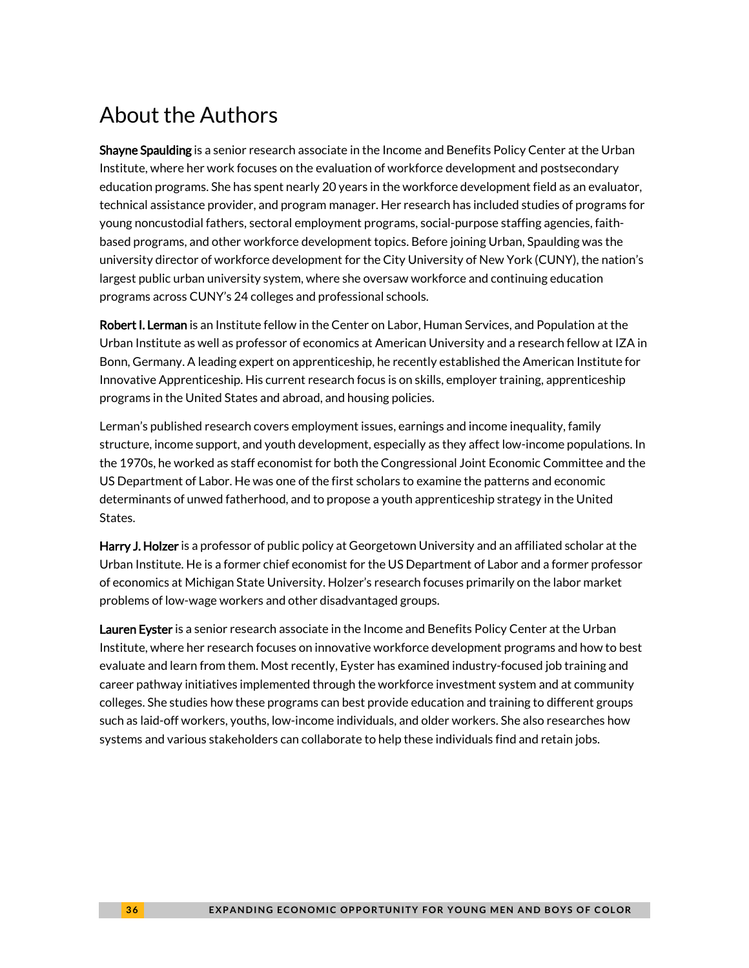# About the Authors

Shayne Spaulding is a senior research associate in the Income and Benefits Policy Center at the Urban Institute, where her work focuses on the evaluation of workforce development and postsecondary education programs. She has spent nearly 20 years in the workforce development field as an evaluator, technical assistance provider, and program manager. Her research has included studies of programs for young noncustodial fathers, sectoral employment programs, social-purpose staffing agencies, faithbased programs, and other workforce development topics. Before joining Urban, Spaulding was the university director of workforce development for the City University of New York (CUNY), the nation's largest public urban university system, where she oversaw workforce and continuing education programs across CUNY's 24 colleges and professional schools.

Robert I. Lerman is an Institute fellow in the Center on Labor, Human Services, and Population at the Urban Institute as well as professor of economics at American University and a research fellow at IZA in Bonn, Germany. A leading expert on apprenticeship, he recently established the American Institute for Innovative Apprenticeship. His current research focus is on skills, employer training, apprenticeship programs in the United States and abroad, and housing policies.

Lerman's published research covers employment issues, earnings and income inequality, family structure, income support, and youth development, especially as they affect low-income populations. In the 1970s, he worked as staff economist for both the Congressional Joint Economic Committee and the US Department of Labor. He was one of the first scholars to examine the patterns and economic determinants of unwed fatherhood, and to propose a youth apprenticeship strategy in the United States.

Harry J. Holzer is a professor of public policy at Georgetown University and an affiliated scholar at the Urban Institute. He is a former chief economist for the US Department of Labor and a former professor of economics at Michigan State University. Holzer's research focuses primarily on the labor market problems of low-wage workers and other disadvantaged groups.

Lauren Eyster is a senior research associate in the Income and Benefits Policy Center at the Urban Institute, where her research focuses on innovative workforce development programs and how to best evaluate and learn from them. Most recently, Eyster has examined industry-focused job training and career pathway initiatives implemented through the workforce investment system and at community colleges. She studies how these programs can best provide education and training to different groups such as laid-off workers, youths, low-income individuals, and older workers. She also researches how systems and various stakeholders can collaborate to help these individuals find and retain jobs.